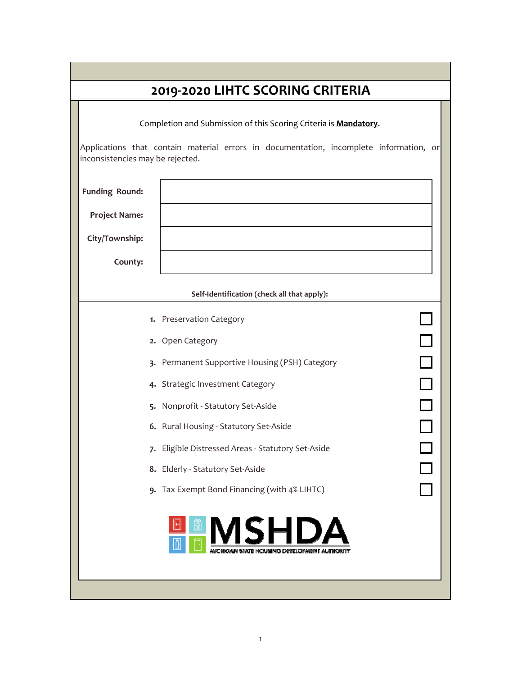| 2019-2020 LIHTC SCORING CRITERIA |                                                                                        |  |  |  |  |
|----------------------------------|----------------------------------------------------------------------------------------|--|--|--|--|
|                                  | Completion and Submission of this Scoring Criteria is Mandatory.                       |  |  |  |  |
| inconsistencies may be rejected. | Applications that contain material errors in documentation, incomplete information, or |  |  |  |  |
| <b>Funding Round:</b>            |                                                                                        |  |  |  |  |
| <b>Project Name:</b>             |                                                                                        |  |  |  |  |
| City/Township:                   |                                                                                        |  |  |  |  |
| County:                          |                                                                                        |  |  |  |  |
|                                  | Self-Identification (check all that apply):                                            |  |  |  |  |
|                                  | 1. Preservation Category                                                               |  |  |  |  |
|                                  | $\Box$<br>2. Open Category                                                             |  |  |  |  |
|                                  | $\Box$<br>3. Permanent Supportive Housing (PSH) Category                               |  |  |  |  |
|                                  | $\begin{array}{c} \square \\ \square \end{array}$<br>4. Strategic Investment Category  |  |  |  |  |
|                                  | $\Box$<br>5. Nonprofit - Statutory Set-Aside                                           |  |  |  |  |
|                                  | 6. Rural Housing - Statutory Set-Aside                                                 |  |  |  |  |
|                                  | 7. Eligible Distressed Areas - Statutory Set-Aside                                     |  |  |  |  |
|                                  | 8. Elderly - Statutory Set-Aside                                                       |  |  |  |  |
|                                  | 9. Tax Exempt Bond Financing (with 4% LIHTC)                                           |  |  |  |  |
|                                  | ISHDA                                                                                  |  |  |  |  |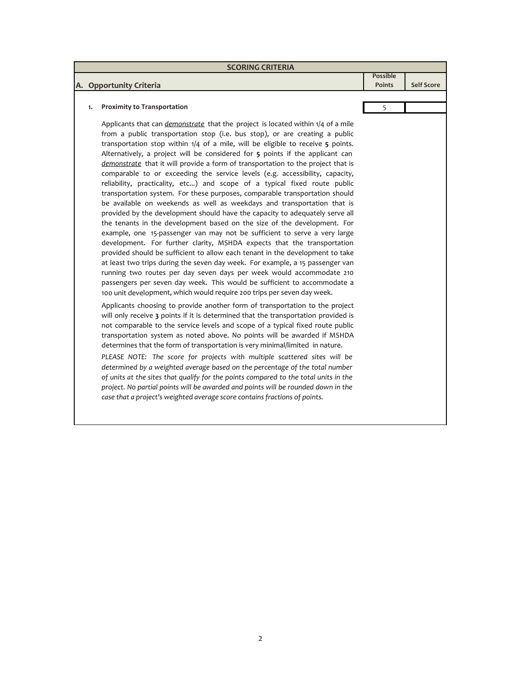| <b>SCORING CRITERIA</b> |                                                                                                                                                                                                                                                                                                                                                                                                                                                                                                                                                                                                                                                                                                                                                                                                                                                                                                                                                                                                                                                                                                                                                                                                                                                                                                                                                                                                                                                                                                                                                                                                                                                                                                                                                                                                                                                                                              |                 |                   |  |
|-------------------------|----------------------------------------------------------------------------------------------------------------------------------------------------------------------------------------------------------------------------------------------------------------------------------------------------------------------------------------------------------------------------------------------------------------------------------------------------------------------------------------------------------------------------------------------------------------------------------------------------------------------------------------------------------------------------------------------------------------------------------------------------------------------------------------------------------------------------------------------------------------------------------------------------------------------------------------------------------------------------------------------------------------------------------------------------------------------------------------------------------------------------------------------------------------------------------------------------------------------------------------------------------------------------------------------------------------------------------------------------------------------------------------------------------------------------------------------------------------------------------------------------------------------------------------------------------------------------------------------------------------------------------------------------------------------------------------------------------------------------------------------------------------------------------------------------------------------------------------------------------------------------------------------|-----------------|-------------------|--|
|                         |                                                                                                                                                                                                                                                                                                                                                                                                                                                                                                                                                                                                                                                                                                                                                                                                                                                                                                                                                                                                                                                                                                                                                                                                                                                                                                                                                                                                                                                                                                                                                                                                                                                                                                                                                                                                                                                                                              | <b>Possible</b> |                   |  |
|                         | A. Opportunity Criteria                                                                                                                                                                                                                                                                                                                                                                                                                                                                                                                                                                                                                                                                                                                                                                                                                                                                                                                                                                                                                                                                                                                                                                                                                                                                                                                                                                                                                                                                                                                                                                                                                                                                                                                                                                                                                                                                      | <b>Points</b>   | <b>Self Score</b> |  |
|                         |                                                                                                                                                                                                                                                                                                                                                                                                                                                                                                                                                                                                                                                                                                                                                                                                                                                                                                                                                                                                                                                                                                                                                                                                                                                                                                                                                                                                                                                                                                                                                                                                                                                                                                                                                                                                                                                                                              |                 |                   |  |
| 1.                      | <b>Proximity to Transportation</b>                                                                                                                                                                                                                                                                                                                                                                                                                                                                                                                                                                                                                                                                                                                                                                                                                                                                                                                                                                                                                                                                                                                                                                                                                                                                                                                                                                                                                                                                                                                                                                                                                                                                                                                                                                                                                                                           | 5               |                   |  |
|                         | Applicants that can demonstrate that the project is located within 1/4 of a mile<br>from a public transportation stop (i.e. bus stop), or are creating a public<br>transportation stop within $1/4$ of a mile, will be eligible to receive $5$ points.<br>Alternatively, a project will be considered for 5 points if the applicant can<br>demonstrate that it will provide a form of transportation to the project that is<br>comparable to or exceeding the service levels (e.g. accessibility, capacity,<br>reliability, practicality, etc) and scope of a typical fixed route public<br>transportation system. For these purposes, comparable transportation should<br>be available on weekends as well as weekdays and transportation that is<br>provided by the development should have the capacity to adequately serve all<br>the tenants in the development based on the size of the development. For<br>example, one 15-passenger van may not be sufficient to serve a very large<br>development. For further clarity, MSHDA expects that the transportation<br>provided should be sufficient to allow each tenant in the development to take<br>at least two trips during the seven day week. For example, a 15 passenger van<br>running two routes per day seven days per week would accommodate 210<br>passengers per seven day week. This would be sufficient to accommodate a<br>100 unit development, which would require 200 trips per seven day week.<br>Applicants choosing to provide another form of transportation to the project<br>will only receive 3 points if it is determined that the transportation provided is<br>not comparable to the service levels and scope of a typical fixed route public<br>transportation system as noted above. No points will be awarded if MSHDA<br>determines that the form of transportation is very minimal/limited in nature. |                 |                   |  |

*PLEASE NOTE: The score for projects with multiple scattered sites will be determined by a weighted average based on the percentage of the total number of units at the sites that qualify for the points compared to the total units in the project. No partial points will be awarded and points will be rounded down in the case that a project's weighted average score contains fractions of points.* 

## 2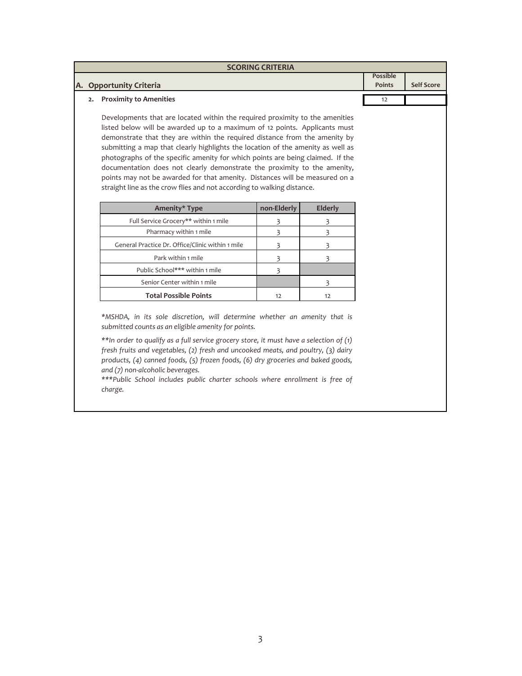| <b>SCORING CRITERIA</b>   |                 |                   |
|---------------------------|-----------------|-------------------|
|                           | <b>Possible</b> |                   |
| A. Opportunity Criteria   | <b>Points</b>   | <b>Self Score</b> |
|                           |                 |                   |
| 2. Proximity to Amenities | 12              |                   |
|                           |                 |                   |

Developments that are located within the required proximity to the amenities listed below will be awarded up to a maximum of 12 points. Applicants must demonstrate that they are within the required distance from the amenity by submitting a map that clearly highlights the location of the amenity as well as photographs of the specific amenity for which points are being claimed. If the documentation does not clearly demonstrate the proximity to the amenity, points may not be awarded for that amenity. Distances will be measured on a straight line as the crow flies and not according to walking distance.

| Amenity* Type                                    | non-Elderly | <b>Elderly</b> |
|--------------------------------------------------|-------------|----------------|
| Full Service Grocery** within 1 mile             |             |                |
| Pharmacy within 1 mile                           |             |                |
| General Practice Dr. Office/Clinic within 1 mile |             |                |
| Park within 1 mile                               |             |                |
| Public School*** within 1 mile                   |             |                |
| Senior Center within 1 mile                      |             |                |
| <b>Total Possible Points</b>                     | 12          | 17             |

*\*MSHDA, in its sole discretion, will determine whether an amenity that is submitted counts as an eligible amenity for points.* 

*\*\*In order to qualify as a full service grocery store, it must have a selection of (1) fresh fruits and vegetables, (2) fresh and uncooked meats, and poultry, (3) dairy products, (4) canned foods, (5) frozen foods, (6) dry groceries and baked goods, and (7) non‐alcoholic beverages.*

*\*\*\*Public School includes public charter schools where enrollment is free of charge.*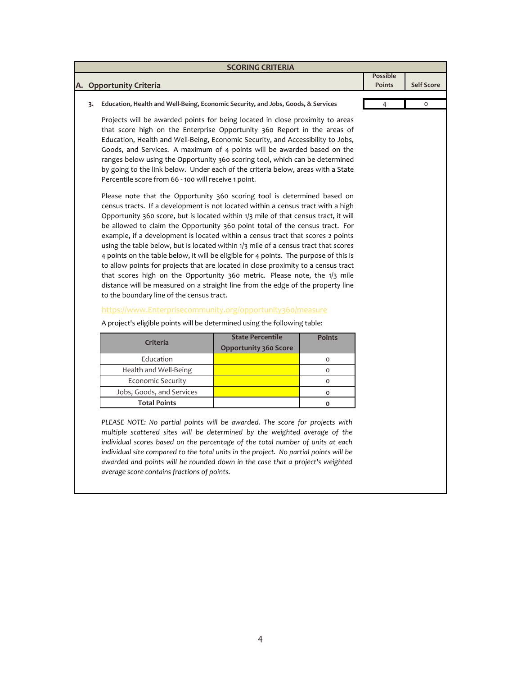| <b>SCORING CRITERIA</b>                                                   |                                                                                                                                                                                                                                                                                                                                                                                                                                                                                                                                                                                                                                                                                                                                                                                                                                                                                                           |                                                         |               |                                  |                   |
|---------------------------------------------------------------------------|-----------------------------------------------------------------------------------------------------------------------------------------------------------------------------------------------------------------------------------------------------------------------------------------------------------------------------------------------------------------------------------------------------------------------------------------------------------------------------------------------------------------------------------------------------------------------------------------------------------------------------------------------------------------------------------------------------------------------------------------------------------------------------------------------------------------------------------------------------------------------------------------------------------|---------------------------------------------------------|---------------|----------------------------------|-------------------|
|                                                                           |                                                                                                                                                                                                                                                                                                                                                                                                                                                                                                                                                                                                                                                                                                                                                                                                                                                                                                           |                                                         |               | <b>Possible</b><br><b>Points</b> | <b>Self Score</b> |
|                                                                           | A. Opportunity Criteria                                                                                                                                                                                                                                                                                                                                                                                                                                                                                                                                                                                                                                                                                                                                                                                                                                                                                   |                                                         |               |                                  |                   |
| 3.                                                                        | Education, Health and Well-Being, Economic Security, and Jobs, Goods, & Services                                                                                                                                                                                                                                                                                                                                                                                                                                                                                                                                                                                                                                                                                                                                                                                                                          |                                                         |               | $\overline{4}$                   | $\circ$           |
|                                                                           | Projects will be awarded points for being located in close proximity to areas<br>that score high on the Enterprise Opportunity 360 Report in the areas of<br>Education, Health and Well-Being, Economic Security, and Accessibility to Jobs,<br>Goods, and Services. A maximum of 4 points will be awarded based on the<br>ranges below using the Opportunity 360 scoring tool, which can be determined<br>by going to the link below. Under each of the criteria below, areas with a State<br>Percentile score from 66 - 100 will receive 1 point.                                                                                                                                                                                                                                                                                                                                                       |                                                         |               |                                  |                   |
|                                                                           | Please note that the Opportunity 360 scoring tool is determined based on<br>census tracts. If a development is not located within a census tract with a high<br>Opportunity 360 score, but is located within 1/3 mile of that census tract, it will<br>be allowed to claim the Opportunity 360 point total of the census tract. For<br>example, if a development is located within a census tract that scores 2 points<br>using the table below, but is located within 1/3 mile of a census tract that scores<br>4 points on the table below, it will be eligible for 4 points. The purpose of this is<br>to allow points for projects that are located in close proximity to a census tract<br>that scores high on the Opportunity 360 metric. Please note, the 1/3 mile<br>distance will be measured on a straight line from the edge of the property line<br>to the boundary line of the census tract. |                                                         |               |                                  |                   |
| https://www.Enterprisecommunity.org/opportunity360/measure                |                                                                                                                                                                                                                                                                                                                                                                                                                                                                                                                                                                                                                                                                                                                                                                                                                                                                                                           |                                                         |               |                                  |                   |
| A project's eligible points will be determined using the following table: |                                                                                                                                                                                                                                                                                                                                                                                                                                                                                                                                                                                                                                                                                                                                                                                                                                                                                                           |                                                         |               |                                  |                   |
|                                                                           | Criteria                                                                                                                                                                                                                                                                                                                                                                                                                                                                                                                                                                                                                                                                                                                                                                                                                                                                                                  | <b>State Percentile</b><br><b>Opportunity 360 Score</b> | <b>Points</b> |                                  |                   |
|                                                                           | Education                                                                                                                                                                                                                                                                                                                                                                                                                                                                                                                                                                                                                                                                                                                                                                                                                                                                                                 |                                                         | 0             |                                  |                   |

*PLEASE NOTE: No partial points will be awarded. The score for projects with multiple scattered sites will be determined by the weighted average of the individual scores based on the percentage of the total number of units at each individual site compared to the total units in the project. No partial points will be awarded and points will be rounded down in the case that a project's weighted*

Economic Security

Health and Well‐Being

Jobs, Goods, and Services

**Total Points**

*average score contains fractions of points.*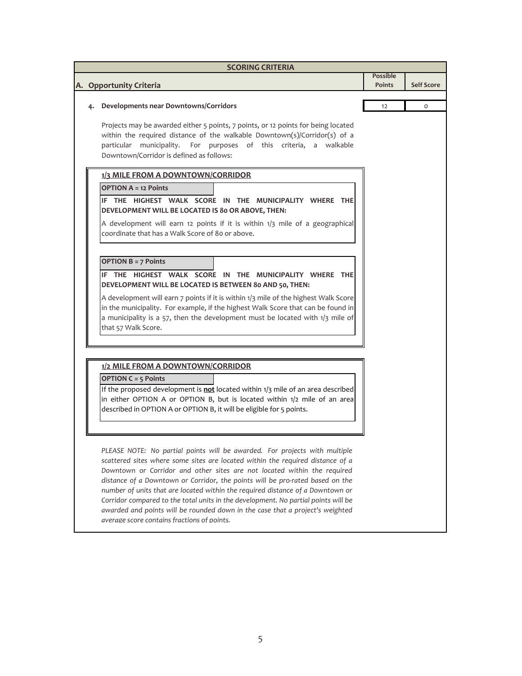| <b>SCORING CRITERIA</b> |                                                                                                                                                                                                                                                                                                                                                                                                                                                                                                                                                                                                                                   |          |                   |  |  |
|-------------------------|-----------------------------------------------------------------------------------------------------------------------------------------------------------------------------------------------------------------------------------------------------------------------------------------------------------------------------------------------------------------------------------------------------------------------------------------------------------------------------------------------------------------------------------------------------------------------------------------------------------------------------------|----------|-------------------|--|--|
|                         |                                                                                                                                                                                                                                                                                                                                                                                                                                                                                                                                                                                                                                   | Possible |                   |  |  |
|                         | A. Opportunity Criteria                                                                                                                                                                                                                                                                                                                                                                                                                                                                                                                                                                                                           | Points   | <b>Self Score</b> |  |  |
| 4.                      | Developments near Downtowns/Corridors                                                                                                                                                                                                                                                                                                                                                                                                                                                                                                                                                                                             | 12       | 0                 |  |  |
|                         | Projects may be awarded either 5 points, 7 points, or 12 points for being located<br>within the required distance of the walkable Downtown(s)/Corridor(s) of a<br>For purposes of this criteria, a walkable<br>particular municipality.<br>Downtown/Corridor is defined as follows:                                                                                                                                                                                                                                                                                                                                               |          |                   |  |  |
|                         | 1/3 MILE FROM A DOWNTOWN/CORRIDOR                                                                                                                                                                                                                                                                                                                                                                                                                                                                                                                                                                                                 |          |                   |  |  |
|                         | <b>OPTION A = 12 Points</b><br>IF THE HIGHEST WALK SCORE IN THE MUNICIPALITY WHERE THE<br>DEVELOPMENT WILL BE LOCATED IS 80 OR ABOVE, THEN:<br>A development will earn 12 points if it is within 1/3 mile of a geographical<br>coordinate that has a Walk Score of 80 or above.                                                                                                                                                                                                                                                                                                                                                   |          |                   |  |  |
|                         |                                                                                                                                                                                                                                                                                                                                                                                                                                                                                                                                                                                                                                   |          |                   |  |  |
|                         | <b>OPTION B = 7 Points</b><br>IF THE HIGHEST WALK SCORE IN THE MUNICIPALITY WHERE THE<br>DEVELOPMENT WILL BE LOCATED IS BETWEEN 80 AND 50, THEN:                                                                                                                                                                                                                                                                                                                                                                                                                                                                                  |          |                   |  |  |
|                         | A development will earn 7 points if it is within 1/3 mile of the highest Walk Score<br>in the municipality. For example, if the highest Walk Score that can be found in<br>a municipality is a 57, then the development must be located with $1/3$ mile of<br>that 57 Walk Score.                                                                                                                                                                                                                                                                                                                                                 |          |                   |  |  |
|                         | 1/2 MILE FROM A DOWNTOWN/CORRIDOR                                                                                                                                                                                                                                                                                                                                                                                                                                                                                                                                                                                                 |          |                   |  |  |
|                         | <b>OPTION C = 5 Points</b><br>If the proposed development is not located within 1/3 mile of an area described<br>in either OPTION A or OPTION B, but is located within 1/2 mile of an area<br>described in OPTION A or OPTION B, it will be eligible for 5 points.                                                                                                                                                                                                                                                                                                                                                                |          |                   |  |  |
|                         | PLEASE NOTE: No partial points will be awarded. For projects with multiple<br>scattered sites where some sites are located within the required distance of a<br>Downtown or Corridor and other sites are not located within the required<br>distance of a Downtown or Corridor, the points will be pro-rated based on the<br>number of units that are located within the required distance of a Downtown or<br>Corridor compared to the total units in the development. No partial points will be<br>awarded and points will be rounded down in the case that a project's weighted<br>average score contains fractions of points. |          |                   |  |  |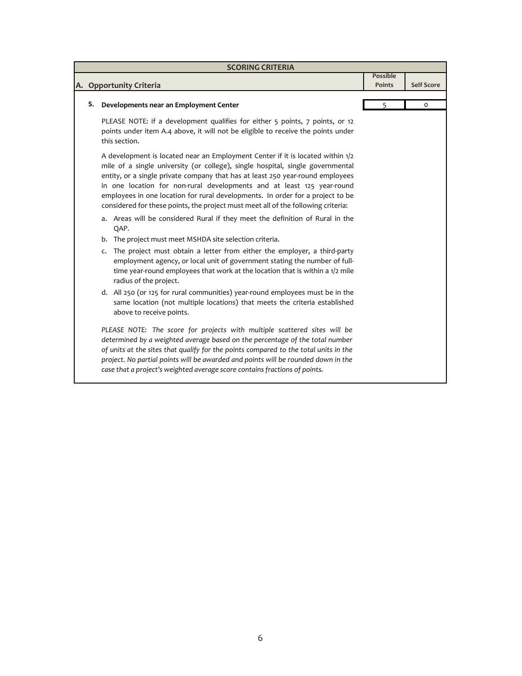| <b>SCORING CRITERIA</b> |                                                                                                                                                                                                                                                                                                                                                                                                                                                                                                     |                 |                   |  |
|-------------------------|-----------------------------------------------------------------------------------------------------------------------------------------------------------------------------------------------------------------------------------------------------------------------------------------------------------------------------------------------------------------------------------------------------------------------------------------------------------------------------------------------------|-----------------|-------------------|--|
|                         |                                                                                                                                                                                                                                                                                                                                                                                                                                                                                                     | <b>Possible</b> |                   |  |
|                         | A. Opportunity Criteria                                                                                                                                                                                                                                                                                                                                                                                                                                                                             | <b>Points</b>   | <b>Self Score</b> |  |
| 5.                      | Developments near an Employment Center                                                                                                                                                                                                                                                                                                                                                                                                                                                              | 5               | 0                 |  |
|                         |                                                                                                                                                                                                                                                                                                                                                                                                                                                                                                     |                 |                   |  |
|                         | PLEASE NOTE: if a development qualifies for either 5 points, 7 points, or 12<br>points under item A.4 above, it will not be eligible to receive the points under<br>this section.                                                                                                                                                                                                                                                                                                                   |                 |                   |  |
|                         | A development is located near an Employment Center if it is located within 1/2<br>mile of a single university (or college), single hospital, single governmental<br>entity, or a single private company that has at least 250 year-round employees<br>in one location for non-rural developments and at least 125 year-round<br>employees in one location for rural developments. In order for a project to be<br>considered for these points, the project must meet all of the following criteria: |                 |                   |  |
|                         | a. Areas will be considered Rural if they meet the definition of Rural in the<br>QAP.                                                                                                                                                                                                                                                                                                                                                                                                               |                 |                   |  |
|                         | b. The project must meet MSHDA site selection criteria.                                                                                                                                                                                                                                                                                                                                                                                                                                             |                 |                   |  |
|                         | The project must obtain a letter from either the employer, a third-party<br>c.<br>employment agency, or local unit of government stating the number of full-<br>time year-round employees that work at the location that is within a 1/2 mile<br>radius of the project.                                                                                                                                                                                                                             |                 |                   |  |
|                         | d. All 250 (or 125 for rural communities) year-round employees must be in the<br>same location (not multiple locations) that meets the criteria established<br>above to receive points.                                                                                                                                                                                                                                                                                                             |                 |                   |  |
|                         | PLEASE NOTE: The score for projects with multiple scattered sites will be<br>determined by a weighted average based on the percentage of the total number<br>of units at the sites that qualify for the points compared to the total units in the<br>project. No partial points will be awarded and points will be rounded down in the<br>case that a project's weighted average score contains fractions of points.                                                                                |                 |                   |  |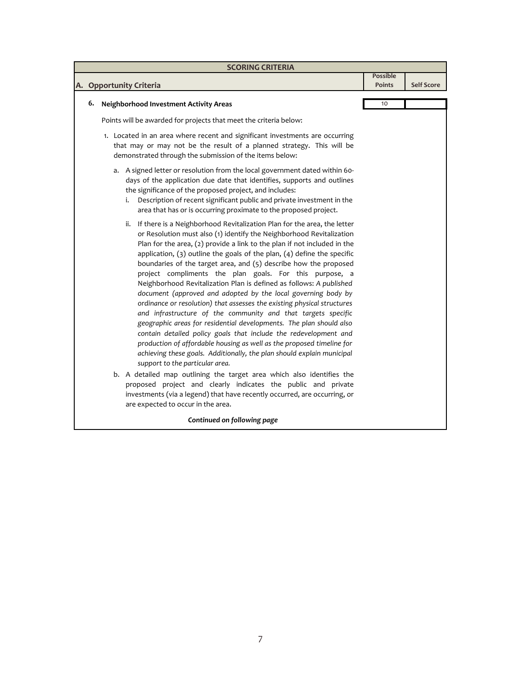| <b>SCORING CRITERIA</b> |                                                                                                                                                                                                                                                                                                                                                                                                                                                                                                                                                                                                                                                                                                                                                                                                                                                                                                                                                                                                                                                                                                                                             |                    |                   |  |
|-------------------------|---------------------------------------------------------------------------------------------------------------------------------------------------------------------------------------------------------------------------------------------------------------------------------------------------------------------------------------------------------------------------------------------------------------------------------------------------------------------------------------------------------------------------------------------------------------------------------------------------------------------------------------------------------------------------------------------------------------------------------------------------------------------------------------------------------------------------------------------------------------------------------------------------------------------------------------------------------------------------------------------------------------------------------------------------------------------------------------------------------------------------------------------|--------------------|-------------------|--|
|                         | A. Opportunity Criteria                                                                                                                                                                                                                                                                                                                                                                                                                                                                                                                                                                                                                                                                                                                                                                                                                                                                                                                                                                                                                                                                                                                     | Possible<br>Points | <b>Self Score</b> |  |
| 6.                      | <b>Neighborhood Investment Activity Areas</b>                                                                                                                                                                                                                                                                                                                                                                                                                                                                                                                                                                                                                                                                                                                                                                                                                                                                                                                                                                                                                                                                                               | 10                 |                   |  |
|                         | Points will be awarded for projects that meet the criteria below:                                                                                                                                                                                                                                                                                                                                                                                                                                                                                                                                                                                                                                                                                                                                                                                                                                                                                                                                                                                                                                                                           |                    |                   |  |
|                         | 1. Located in an area where recent and significant investments are occurring<br>that may or may not be the result of a planned strategy. This will be<br>demonstrated through the submission of the items below:                                                                                                                                                                                                                                                                                                                                                                                                                                                                                                                                                                                                                                                                                                                                                                                                                                                                                                                            |                    |                   |  |
|                         | a. A signed letter or resolution from the local government dated within 60-<br>days of the application due date that identifies, supports and outlines<br>the significance of the proposed project, and includes:<br>i. Description of recent significant public and private investment in the<br>area that has or is occurring proximate to the proposed project.                                                                                                                                                                                                                                                                                                                                                                                                                                                                                                                                                                                                                                                                                                                                                                          |                    |                   |  |
|                         | ii. If there is a Neighborhood Revitalization Plan for the area, the letter<br>or Resolution must also (1) identify the Neighborhood Revitalization<br>Plan for the area, (2) provide a link to the plan if not included in the<br>application, $(3)$ outline the goals of the plan, $(4)$ define the specific<br>boundaries of the target area, and (5) describe how the proposed<br>project compliments the plan goals. For this purpose, a<br>Neighborhood Revitalization Plan is defined as follows: A published<br>document (approved and adopted by the local governing body by<br>ordinance or resolution) that assesses the existing physical structures<br>and infrastructure of the community and that targets specific<br>geographic areas for residential developments. The plan should also<br>contain detailed policy goals that include the redevelopment and<br>production of affordable housing as well as the proposed timeline for<br>achieving these goals. Additionally, the plan should explain municipal<br>support to the particular area.<br>b. A detailed map outlining the target area which also identifies the |                    |                   |  |
|                         | proposed project and clearly indicates the public and private<br>investments (via a legend) that have recently occurred, are occurring, or<br>are expected to occur in the area.                                                                                                                                                                                                                                                                                                                                                                                                                                                                                                                                                                                                                                                                                                                                                                                                                                                                                                                                                            |                    |                   |  |
|                         | Continued on following page                                                                                                                                                                                                                                                                                                                                                                                                                                                                                                                                                                                                                                                                                                                                                                                                                                                                                                                                                                                                                                                                                                                 |                    |                   |  |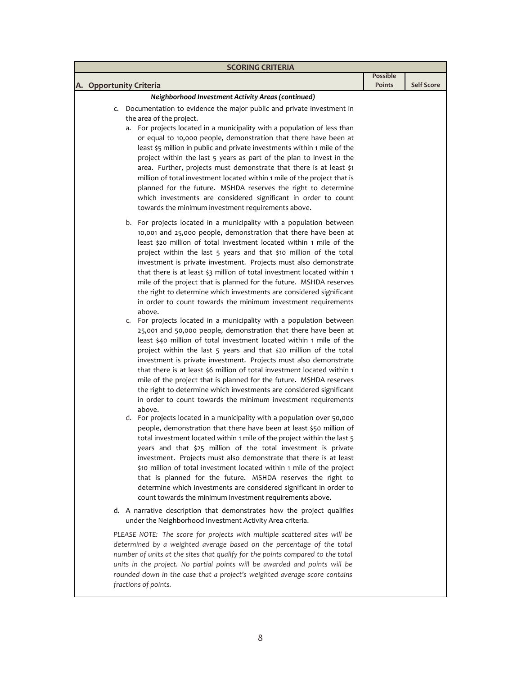| <b>SCORING CRITERIA</b>                                                                                                                                                                                                                                                                                                                                                                                                                                                                                                                                                                                                                                                                                                                                                                                                                                                                                                                                                                                                                                                                                                                                                                                                                                                                                                                                                                                                                                                                                                                                                                                                                                                                                                                                                                                                                                                                                                                                                                                                                          |                           |                   |  |  |
|--------------------------------------------------------------------------------------------------------------------------------------------------------------------------------------------------------------------------------------------------------------------------------------------------------------------------------------------------------------------------------------------------------------------------------------------------------------------------------------------------------------------------------------------------------------------------------------------------------------------------------------------------------------------------------------------------------------------------------------------------------------------------------------------------------------------------------------------------------------------------------------------------------------------------------------------------------------------------------------------------------------------------------------------------------------------------------------------------------------------------------------------------------------------------------------------------------------------------------------------------------------------------------------------------------------------------------------------------------------------------------------------------------------------------------------------------------------------------------------------------------------------------------------------------------------------------------------------------------------------------------------------------------------------------------------------------------------------------------------------------------------------------------------------------------------------------------------------------------------------------------------------------------------------------------------------------------------------------------------------------------------------------------------------------|---------------------------|-------------------|--|--|
| A. Opportunity Criteria                                                                                                                                                                                                                                                                                                                                                                                                                                                                                                                                                                                                                                                                                                                                                                                                                                                                                                                                                                                                                                                                                                                                                                                                                                                                                                                                                                                                                                                                                                                                                                                                                                                                                                                                                                                                                                                                                                                                                                                                                          | Possible<br><b>Points</b> | <b>Self Score</b> |  |  |
| Neighborhood Investment Activity Areas (continued)                                                                                                                                                                                                                                                                                                                                                                                                                                                                                                                                                                                                                                                                                                                                                                                                                                                                                                                                                                                                                                                                                                                                                                                                                                                                                                                                                                                                                                                                                                                                                                                                                                                                                                                                                                                                                                                                                                                                                                                               |                           |                   |  |  |
| c. Documentation to evidence the major public and private investment in<br>the area of the project.<br>a. For projects located in a municipality with a population of less than<br>or equal to 10,000 people, demonstration that there have been at<br>least \$5 million in public and private investments within 1 mile of the<br>project within the last 5 years as part of the plan to invest in the<br>area. Further, projects must demonstrate that there is at least \$1<br>million of total investment located within 1 mile of the project that is<br>planned for the future. MSHDA reserves the right to determine<br>which investments are considered significant in order to count<br>towards the minimum investment requirements above.                                                                                                                                                                                                                                                                                                                                                                                                                                                                                                                                                                                                                                                                                                                                                                                                                                                                                                                                                                                                                                                                                                                                                                                                                                                                                              |                           |                   |  |  |
| b. For projects located in a municipality with a population between<br>10,001 and 25,000 people, demonstration that there have been at<br>least \$20 million of total investment located within 1 mile of the<br>project within the last 5 years and that \$10 million of the total<br>investment is private investment. Projects must also demonstrate<br>that there is at least \$3 million of total investment located within 1<br>mile of the project that is planned for the future. MSHDA reserves<br>the right to determine which investments are considered significant<br>in order to count towards the minimum investment requirements<br>above.<br>c. For projects located in a municipality with a population between<br>25,001 and 50,000 people, demonstration that there have been at<br>least \$40 million of total investment located within 1 mile of the<br>project within the last 5 years and that \$20 million of the total<br>investment is private investment. Projects must also demonstrate<br>that there is at least \$6 million of total investment located within 1<br>mile of the project that is planned for the future. MSHDA reserves<br>the right to determine which investments are considered significant<br>in order to count towards the minimum investment requirements<br>above.<br>d. For projects located in a municipality with a population over 50,000<br>people, demonstration that there have been at least \$50 million of<br>total investment located within 1 mile of the project within the last 5<br>years and that \$25 million of the total investment is private<br>investment. Projects must also demonstrate that there is at least<br>\$10 million of total investment located within 1 mile of the project<br>that is planned for the future. MSHDA reserves the right to<br>determine which investments are considered significant in order to<br>count towards the minimum investment requirements above.<br>d. A narrative description that demonstrates how the project qualifies |                           |                   |  |  |
| under the Neighborhood Investment Activity Area criteria.<br>PLEASE NOTE: The score for projects with multiple scattered sites will be<br>determined by a weighted average based on the percentage of the total<br>number of units at the sites that qualify for the points compared to the total<br>units in the project. No partial points will be awarded and points will be<br>rounded down in the case that a project's weighted average score contains<br>fractions of points.                                                                                                                                                                                                                                                                                                                                                                                                                                                                                                                                                                                                                                                                                                                                                                                                                                                                                                                                                                                                                                                                                                                                                                                                                                                                                                                                                                                                                                                                                                                                                             |                           |                   |  |  |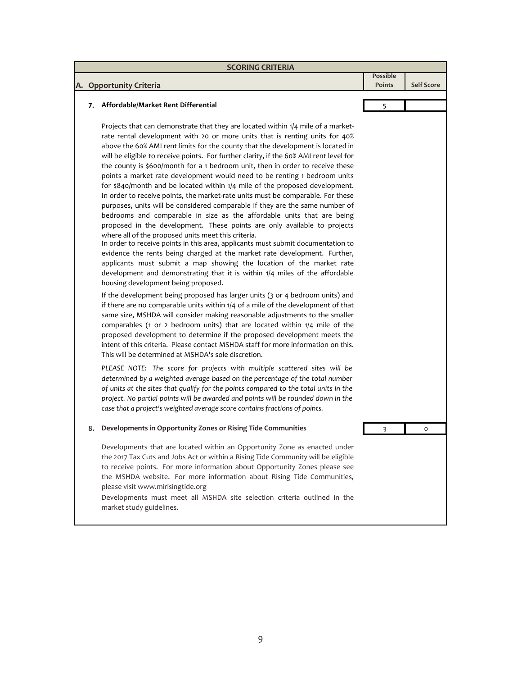|    |                                                                                                                                                                                                                                                                                                                                                                                                                                                                                                                                                                                                                                                                                                                                                                                                                                                                                                                                                                                                                                                                                                                                                                                                                                                                                                                                                                                                                            | <b>SCORING CRITERIA</b>   |                   |  |  |  |
|----|----------------------------------------------------------------------------------------------------------------------------------------------------------------------------------------------------------------------------------------------------------------------------------------------------------------------------------------------------------------------------------------------------------------------------------------------------------------------------------------------------------------------------------------------------------------------------------------------------------------------------------------------------------------------------------------------------------------------------------------------------------------------------------------------------------------------------------------------------------------------------------------------------------------------------------------------------------------------------------------------------------------------------------------------------------------------------------------------------------------------------------------------------------------------------------------------------------------------------------------------------------------------------------------------------------------------------------------------------------------------------------------------------------------------------|---------------------------|-------------------|--|--|--|
|    | A. Opportunity Criteria                                                                                                                                                                                                                                                                                                                                                                                                                                                                                                                                                                                                                                                                                                                                                                                                                                                                                                                                                                                                                                                                                                                                                                                                                                                                                                                                                                                                    | <b>Possible</b><br>Points | <b>Self Score</b> |  |  |  |
|    |                                                                                                                                                                                                                                                                                                                                                                                                                                                                                                                                                                                                                                                                                                                                                                                                                                                                                                                                                                                                                                                                                                                                                                                                                                                                                                                                                                                                                            |                           |                   |  |  |  |
| 7. | Affordable/Market Rent Differential                                                                                                                                                                                                                                                                                                                                                                                                                                                                                                                                                                                                                                                                                                                                                                                                                                                                                                                                                                                                                                                                                                                                                                                                                                                                                                                                                                                        | 5                         |                   |  |  |  |
|    | Projects that can demonstrate that they are located within 1/4 mile of a market-<br>rate rental development with 20 or more units that is renting units for 40%<br>above the 60% AMI rent limits for the county that the development is located in<br>will be eligible to receive points. For further clarity, if the 60% AMI rent level for<br>the county is \$600/month for a 1 bedroom unit, then in order to receive these<br>points a market rate development would need to be renting 1 bedroom units<br>for \$840/month and be located within 1/4 mile of the proposed development.<br>In order to receive points, the market-rate units must be comparable. For these<br>purposes, units will be considered comparable if they are the same number of<br>bedrooms and comparable in size as the affordable units that are being<br>proposed in the development. These points are only available to projects<br>where all of the proposed units meet this criteria.<br>In order to receive points in this area, applicants must submit documentation to<br>evidence the rents being charged at the market rate development. Further,<br>applicants must submit a map showing the location of the market rate<br>development and demonstrating that it is within 1/4 miles of the affordable<br>housing development being proposed.<br>If the development being proposed has larger units (3 or 4 bedroom units) and |                           |                   |  |  |  |
|    | if there are no comparable units within $1/4$ of a mile of the development of that<br>same size, MSHDA will consider making reasonable adjustments to the smaller<br>comparables (1 or 2 bedroom units) that are located within $1/4$ mile of the<br>proposed development to determine if the proposed development meets the<br>intent of this criteria. Please contact MSHDA staff for more information on this.<br>This will be determined at MSHDA's sole discretion.<br>PLEASE NOTE: The score for projects with multiple scattered sites will be<br>determined by a weighted average based on the percentage of the total number                                                                                                                                                                                                                                                                                                                                                                                                                                                                                                                                                                                                                                                                                                                                                                                      |                           |                   |  |  |  |
|    | of units at the sites that qualify for the points compared to the total units in the<br>project. No partial points will be awarded and points will be rounded down in the<br>case that a project's weighted average score contains fractions of points.                                                                                                                                                                                                                                                                                                                                                                                                                                                                                                                                                                                                                                                                                                                                                                                                                                                                                                                                                                                                                                                                                                                                                                    |                           |                   |  |  |  |
| 8. | Developments in Opportunity Zones or Rising Tide Communities                                                                                                                                                                                                                                                                                                                                                                                                                                                                                                                                                                                                                                                                                                                                                                                                                                                                                                                                                                                                                                                                                                                                                                                                                                                                                                                                                               | 3                         | $\circ$           |  |  |  |
|    | Developments that are located within an Opportunity Zone as enacted under<br>the 2017 Tax Cuts and Jobs Act or within a Rising Tide Community will be eligible<br>to receive points. For more information about Opportunity Zones please see<br>the MSHDA website. For more information about Rising Tide Communities,<br>please visit www.mirisingtide.org<br>Developments must meet all MSHDA site selection criteria outlined in the<br>market study guidelines.                                                                                                                                                                                                                                                                                                                                                                                                                                                                                                                                                                                                                                                                                                                                                                                                                                                                                                                                                        |                           |                   |  |  |  |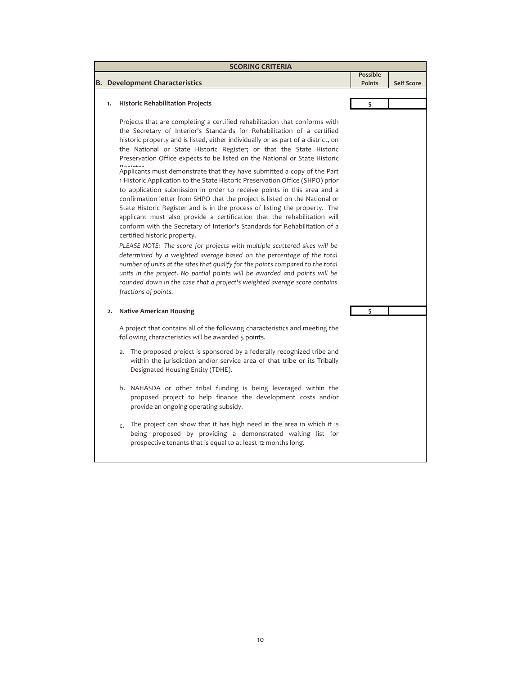| <b>SCORING CRITERIA</b> |                                                                                                                                                                                                                                                                                                                                                                                                                                                                                                                                                                                                                                                                                                                                                                                                                                                                                                                                                                                                                                      |                                  |                   |  |
|-------------------------|--------------------------------------------------------------------------------------------------------------------------------------------------------------------------------------------------------------------------------------------------------------------------------------------------------------------------------------------------------------------------------------------------------------------------------------------------------------------------------------------------------------------------------------------------------------------------------------------------------------------------------------------------------------------------------------------------------------------------------------------------------------------------------------------------------------------------------------------------------------------------------------------------------------------------------------------------------------------------------------------------------------------------------------|----------------------------------|-------------------|--|
|                         |                                                                                                                                                                                                                                                                                                                                                                                                                                                                                                                                                                                                                                                                                                                                                                                                                                                                                                                                                                                                                                      | <b>Possible</b><br><b>Points</b> | <b>Self Score</b> |  |
|                         | <b>B.</b> Development Characteristics                                                                                                                                                                                                                                                                                                                                                                                                                                                                                                                                                                                                                                                                                                                                                                                                                                                                                                                                                                                                |                                  |                   |  |
| 1.                      | <b>Historic Rehabilitation Projects</b>                                                                                                                                                                                                                                                                                                                                                                                                                                                                                                                                                                                                                                                                                                                                                                                                                                                                                                                                                                                              | 5                                |                   |  |
|                         | Projects that are completing a certified rehabilitation that conforms with<br>the Secretary of Interior's Standards for Rehabilitation of a certified<br>historic property and is listed, either individually or as part of a district, on<br>the National or State Historic Register; or that the State Historic<br>Preservation Office expects to be listed on the National or State Historic                                                                                                                                                                                                                                                                                                                                                                                                                                                                                                                                                                                                                                      |                                  |                   |  |
|                         | $D$ omictor<br>Applicants must demonstrate that they have submitted a copy of the Part<br>1 Historic Application to the State Historic Preservation Office (SHPO) prior<br>to application submission in order to receive points in this area and a<br>confirmation letter from SHPO that the project is listed on the National or<br>State Historic Register and is in the process of listing the property. The<br>applicant must also provide a certification that the rehabilitation will<br>conform with the Secretary of Interior's Standards for Rehabilitation of a<br>certified historic property.<br>PLEASE NOTE: The score for projects with multiple scattered sites will be<br>determined by a weighted average based on the percentage of the total<br>number of units at the sites that qualify for the points compared to the total<br>units in the project. No partial points will be awarded and points will be<br>rounded down in the case that a project's weighted average score contains<br>fractions of points. |                                  |                   |  |
| 2.                      | <b>Native American Housing</b>                                                                                                                                                                                                                                                                                                                                                                                                                                                                                                                                                                                                                                                                                                                                                                                                                                                                                                                                                                                                       |                                  |                   |  |
|                         | A project that contains all of the following characteristics and meeting the<br>following characteristics will be awarded 5 points.                                                                                                                                                                                                                                                                                                                                                                                                                                                                                                                                                                                                                                                                                                                                                                                                                                                                                                  |                                  |                   |  |
|                         | a. The proposed project is sponsored by a federally recognized tribe and<br>within the jurisdiction and/or service area of that tribe or its Tribally<br>Designated Housing Entity (TDHE).                                                                                                                                                                                                                                                                                                                                                                                                                                                                                                                                                                                                                                                                                                                                                                                                                                           |                                  |                   |  |
|                         | b. NAHASDA or other tribal funding is being leveraged within the<br>proposed project to help finance the development costs and/or<br>provide an ongoing operating subsidy.                                                                                                                                                                                                                                                                                                                                                                                                                                                                                                                                                                                                                                                                                                                                                                                                                                                           |                                  |                   |  |
|                         | The project can show that it has high need in the area in which it is<br>$\mathsf{C}$ .<br>being proposed by providing a demonstrated waiting list for<br>prospective tenants that is equal to at least 12 months long.                                                                                                                                                                                                                                                                                                                                                                                                                                                                                                                                                                                                                                                                                                                                                                                                              |                                  |                   |  |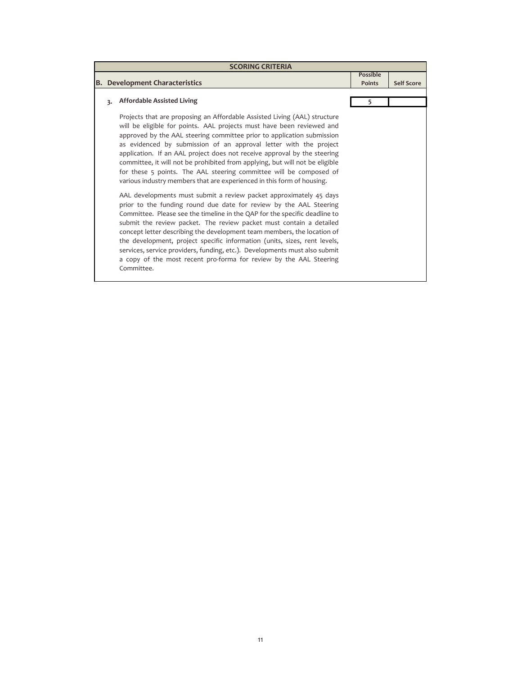| <b>SCORING CRITERIA</b> |                                                                                                                                                                                                                                                                                                                                                                                                                                                                                                                                                                                                                                                                                                                                                                                                                                                                                                                                                                                                                                                                                                                                                                                                                                          |                           |                   |  |
|-------------------------|------------------------------------------------------------------------------------------------------------------------------------------------------------------------------------------------------------------------------------------------------------------------------------------------------------------------------------------------------------------------------------------------------------------------------------------------------------------------------------------------------------------------------------------------------------------------------------------------------------------------------------------------------------------------------------------------------------------------------------------------------------------------------------------------------------------------------------------------------------------------------------------------------------------------------------------------------------------------------------------------------------------------------------------------------------------------------------------------------------------------------------------------------------------------------------------------------------------------------------------|---------------------------|-------------------|--|
|                         | <b>B.</b> Development Characteristics                                                                                                                                                                                                                                                                                                                                                                                                                                                                                                                                                                                                                                                                                                                                                                                                                                                                                                                                                                                                                                                                                                                                                                                                    | Possible<br><b>Points</b> | <b>Self Score</b> |  |
| 3.                      | <b>Affordable Assisted Living</b>                                                                                                                                                                                                                                                                                                                                                                                                                                                                                                                                                                                                                                                                                                                                                                                                                                                                                                                                                                                                                                                                                                                                                                                                        | 5                         |                   |  |
|                         | Projects that are proposing an Affordable Assisted Living (AAL) structure<br>will be eligible for points. AAL projects must have been reviewed and<br>approved by the AAL steering committee prior to application submission<br>as evidenced by submission of an approval letter with the project<br>application. If an AAL project does not receive approval by the steering<br>committee, it will not be prohibited from applying, but will not be eligible<br>for these 5 points. The AAL steering committee will be composed of<br>various industry members that are experienced in this form of housing.<br>AAL developments must submit a review packet approximately 45 days<br>prior to the funding round due date for review by the AAL Steering<br>Committee. Please see the timeline in the QAP for the specific deadline to<br>submit the review packet. The review packet must contain a detailed<br>concept letter describing the development team members, the location of<br>the development, project specific information (units, sizes, rent levels,<br>services, service providers, funding, etc.). Developments must also submit<br>a copy of the most recent pro-forma for review by the AAL Steering<br>Committee. |                           |                   |  |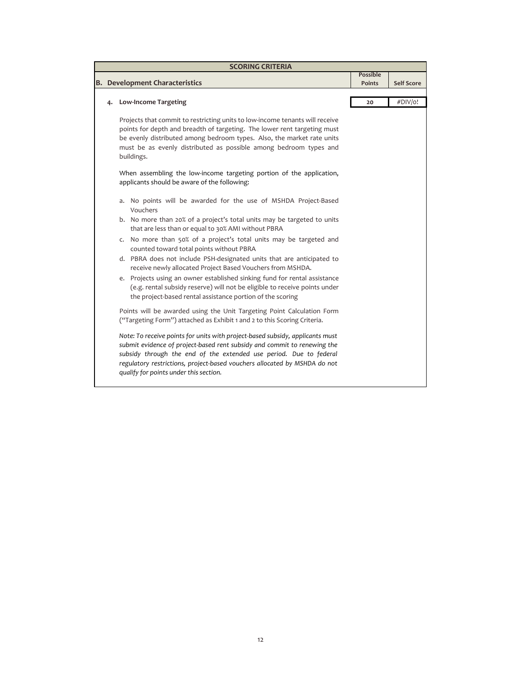| <b>SCORING CRITERIA</b> |  |                                                                                                                                                                                                                                                                                                                                                        |                                  |                   |  |  |
|-------------------------|--|--------------------------------------------------------------------------------------------------------------------------------------------------------------------------------------------------------------------------------------------------------------------------------------------------------------------------------------------------------|----------------------------------|-------------------|--|--|
|                         |  | <b>B.</b> Development Characteristics                                                                                                                                                                                                                                                                                                                  | <b>Possible</b><br><b>Points</b> | <b>Self Score</b> |  |  |
|                         |  |                                                                                                                                                                                                                                                                                                                                                        |                                  |                   |  |  |
|                         |  | <b>Low-Income Targeting</b>                                                                                                                                                                                                                                                                                                                            | 20                               | #DIV/o!           |  |  |
|                         |  | Projects that commit to restricting units to low-income tenants will receive<br>points for depth and breadth of targeting. The lower rent targeting must<br>be evenly distributed among bedroom types. Also, the market rate units<br>must be as evenly distributed as possible among bedroom types and<br>buildings.                                  |                                  |                   |  |  |
|                         |  | When assembling the low-income targeting portion of the application,<br>applicants should be aware of the following:                                                                                                                                                                                                                                   |                                  |                   |  |  |
|                         |  | a. No points will be awarded for the use of MSHDA Project-Based<br>Vouchers                                                                                                                                                                                                                                                                            |                                  |                   |  |  |
|                         |  | b. No more than 20% of a project's total units may be targeted to units<br>that are less than or equal to 30% AMI without PBRA                                                                                                                                                                                                                         |                                  |                   |  |  |
|                         |  | c. No more than 50% of a project's total units may be targeted and<br>counted toward total points without PBRA                                                                                                                                                                                                                                         |                                  |                   |  |  |
|                         |  | d. PBRA does not include PSH-designated units that are anticipated to<br>receive newly allocated Project Based Vouchers from MSHDA.                                                                                                                                                                                                                    |                                  |                   |  |  |
|                         |  | e. Projects using an owner established sinking fund for rental assistance<br>(e.g. rental subsidy reserve) will not be eligible to receive points under<br>the project-based rental assistance portion of the scoring                                                                                                                                  |                                  |                   |  |  |
|                         |  | Points will be awarded using the Unit Targeting Point Calculation Form<br>("Targeting Form") attached as Exhibit 1 and 2 to this Scoring Criteria.                                                                                                                                                                                                     |                                  |                   |  |  |
|                         |  | Note: To receive points for units with project-based subsidy, applicants must<br>submit evidence of project-based rent subsidy and commit to renewing the<br>subsidy through the end of the extended use period. Due to federal<br>regulatory restrictions, project-based vouchers allocated by MSHDA do not<br>qualify for points under this section. |                                  |                   |  |  |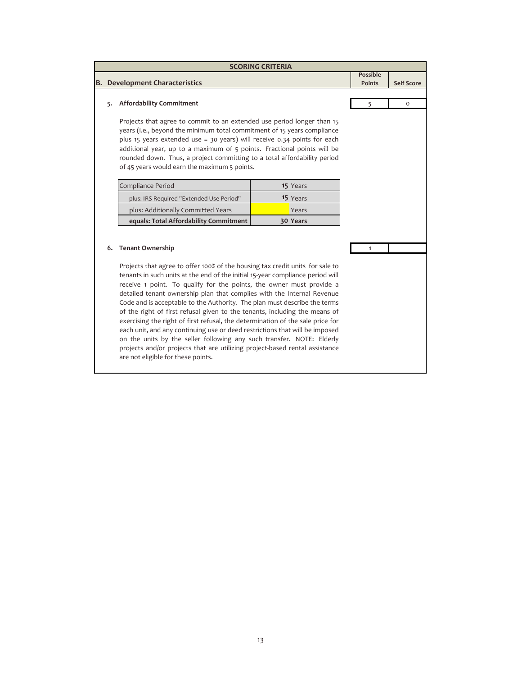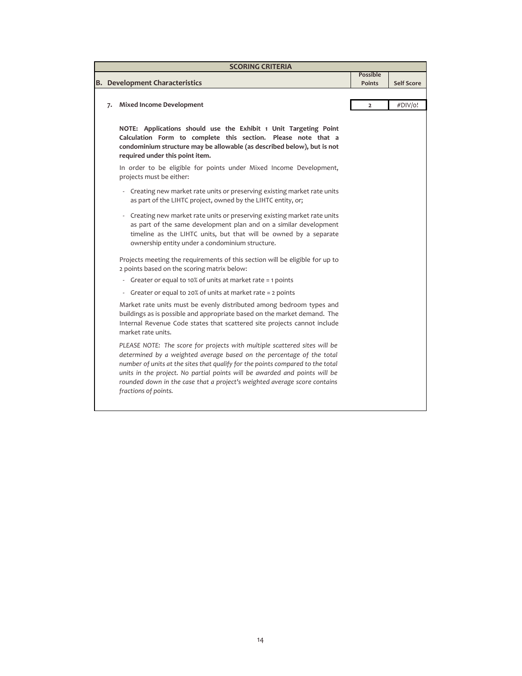| <b>SCORING CRITERIA</b> |                                                                                                                                                                                                                                                                                                                                                                                                                         |                           |                   |  |  |  |
|-------------------------|-------------------------------------------------------------------------------------------------------------------------------------------------------------------------------------------------------------------------------------------------------------------------------------------------------------------------------------------------------------------------------------------------------------------------|---------------------------|-------------------|--|--|--|
|                         | <b>B.</b> Development Characteristics                                                                                                                                                                                                                                                                                                                                                                                   | Possible<br><b>Points</b> | <b>Self Score</b> |  |  |  |
|                         |                                                                                                                                                                                                                                                                                                                                                                                                                         |                           |                   |  |  |  |
| 7.                      | <b>Mixed Income Development</b>                                                                                                                                                                                                                                                                                                                                                                                         | $\overline{2}$            | #DIV/o!           |  |  |  |
|                         | NOTE: Applications should use the Exhibit 1 Unit Targeting Point<br>Calculation Form to complete this section. Please note that a<br>condominium structure may be allowable (as described below), but is not<br>required under this point item.                                                                                                                                                                         |                           |                   |  |  |  |
|                         | In order to be eligible for points under Mixed Income Development,<br>projects must be either:                                                                                                                                                                                                                                                                                                                          |                           |                   |  |  |  |
|                         | - Creating new market rate units or preserving existing market rate units<br>as part of the LIHTC project, owned by the LIHTC entity, or;                                                                                                                                                                                                                                                                               |                           |                   |  |  |  |
|                         | Creating new market rate units or preserving existing market rate units<br>as part of the same development plan and on a similar development<br>timeline as the LIHTC units, but that will be owned by a separate<br>ownership entity under a condominium structure.                                                                                                                                                    |                           |                   |  |  |  |
|                         | Projects meeting the requirements of this section will be eligible for up to<br>2 points based on the scoring matrix below:                                                                                                                                                                                                                                                                                             |                           |                   |  |  |  |
|                         | Greater or equal to 10% of units at market rate = 1 points<br>$\overline{\phantom{a}}$                                                                                                                                                                                                                                                                                                                                  |                           |                   |  |  |  |
|                         | Greater or equal to 20% of units at market rate = 2 points<br>$\sim$                                                                                                                                                                                                                                                                                                                                                    |                           |                   |  |  |  |
|                         | Market rate units must be evenly distributed among bedroom types and<br>buildings as is possible and appropriate based on the market demand. The<br>Internal Revenue Code states that scattered site projects cannot include<br>market rate units.                                                                                                                                                                      |                           |                   |  |  |  |
|                         | PLEASE NOTE: The score for projects with multiple scattered sites will be<br>determined by a weighted average based on the percentage of the total<br>number of units at the sites that qualify for the points compared to the total<br>units in the project. No partial points will be awarded and points will be<br>rounded down in the case that a project's weighted average score contains<br>fractions of points. |                           |                   |  |  |  |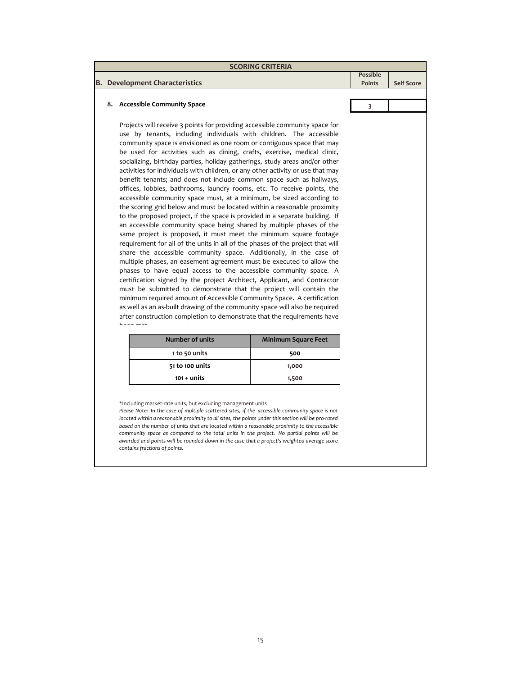| <b>SCORING CRITERIA</b> |                                                                                                                                                                                                                                                                                                                                                                                                                                                                                                                                                                                                                                                                                                                                                                                                                                                                                                                                                                                                                                                                                                                                                                                                                                                                                                                                                                                                                                                                                                                                                                                                                                                                                                                                                                 |                                   |                         |                   |  |  |
|-------------------------|-----------------------------------------------------------------------------------------------------------------------------------------------------------------------------------------------------------------------------------------------------------------------------------------------------------------------------------------------------------------------------------------------------------------------------------------------------------------------------------------------------------------------------------------------------------------------------------------------------------------------------------------------------------------------------------------------------------------------------------------------------------------------------------------------------------------------------------------------------------------------------------------------------------------------------------------------------------------------------------------------------------------------------------------------------------------------------------------------------------------------------------------------------------------------------------------------------------------------------------------------------------------------------------------------------------------------------------------------------------------------------------------------------------------------------------------------------------------------------------------------------------------------------------------------------------------------------------------------------------------------------------------------------------------------------------------------------------------------------------------------------------------|-----------------------------------|-------------------------|-------------------|--|--|
|                         |                                                                                                                                                                                                                                                                                                                                                                                                                                                                                                                                                                                                                                                                                                                                                                                                                                                                                                                                                                                                                                                                                                                                                                                                                                                                                                                                                                                                                                                                                                                                                                                                                                                                                                                                                                 |                                   | <b>Possible</b>         |                   |  |  |
|                         | <b>B.</b> Development Characteristics                                                                                                                                                                                                                                                                                                                                                                                                                                                                                                                                                                                                                                                                                                                                                                                                                                                                                                                                                                                                                                                                                                                                                                                                                                                                                                                                                                                                                                                                                                                                                                                                                                                                                                                           |                                   | <b>Points</b>           | <b>Self Score</b> |  |  |
|                         |                                                                                                                                                                                                                                                                                                                                                                                                                                                                                                                                                                                                                                                                                                                                                                                                                                                                                                                                                                                                                                                                                                                                                                                                                                                                                                                                                                                                                                                                                                                                                                                                                                                                                                                                                                 |                                   |                         |                   |  |  |
|                         | 8. Accessible Community Space                                                                                                                                                                                                                                                                                                                                                                                                                                                                                                                                                                                                                                                                                                                                                                                                                                                                                                                                                                                                                                                                                                                                                                                                                                                                                                                                                                                                                                                                                                                                                                                                                                                                                                                                   |                                   | $\overline{\mathbf{3}}$ |                   |  |  |
|                         | Projects will receive 3 points for providing accessible community space for<br>use by tenants, including individuals with children. The accessible<br>community space is envisioned as one room or contiguous space that may<br>be used for activities such as dining, crafts, exercise, medical clinic,<br>socializing, birthday parties, holiday gatherings, study areas and/or other<br>activities for individuals with children, or any other activity or use that may<br>benefit tenants; and does not include common space such as hallways,<br>offices, lobbies, bathrooms, laundry rooms, etc. To receive points, the<br>accessible community space must, at a minimum, be sized according to<br>the scoring grid below and must be located within a reasonable proximity<br>to the proposed project, if the space is provided in a separate building. If<br>an accessible community space being shared by multiple phases of the<br>same project is proposed, it must meet the minimum square footage<br>requirement for all of the units in all of the phases of the project that will<br>share the accessible community space. Additionally, in the case of<br>multiple phases, an easement agreement must be executed to allow the<br>phases to have equal access to the accessible community space. A<br>certification signed by the project Architect, Applicant, and Contractor<br>must be submitted to demonstrate that the project will contain the<br>minimum required amount of Accessible Community Space. A certification<br>as well as an as-built drawing of the community space will also be required<br>after construction completion to demonstrate that the requirements have<br>haan mat<br><b>Number of units</b><br>1 to 50 units | <b>Minimum Square Feet</b><br>500 |                         |                   |  |  |
| 51 to 100 units         |                                                                                                                                                                                                                                                                                                                                                                                                                                                                                                                                                                                                                                                                                                                                                                                                                                                                                                                                                                                                                                                                                                                                                                                                                                                                                                                                                                                                                                                                                                                                                                                                                                                                                                                                                                 |                                   |                         |                   |  |  |
|                         | $101 +$ units                                                                                                                                                                                                                                                                                                                                                                                                                                                                                                                                                                                                                                                                                                                                                                                                                                                                                                                                                                                                                                                                                                                                                                                                                                                                                                                                                                                                                                                                                                                                                                                                                                                                                                                                                   | 1,000<br>1,500                    |                         |                   |  |  |
|                         |                                                                                                                                                                                                                                                                                                                                                                                                                                                                                                                                                                                                                                                                                                                                                                                                                                                                                                                                                                                                                                                                                                                                                                                                                                                                                                                                                                                                                                                                                                                                                                                                                                                                                                                                                                 |                                   |                         |                   |  |  |

\*Including market‐rate units, but excluding management units

*Please Note: In the case of multiple scattered sites, if the accessible community space is not located within a reasonable proximity to all sites, the points under this section will be pro‐rated based on the number of units that are located within a reasonable proximity to the accessible community space as compared to the total units in the project. No partial points will be awarded and points will be rounded down in the case that a project's weighted average score contains fractions of points.*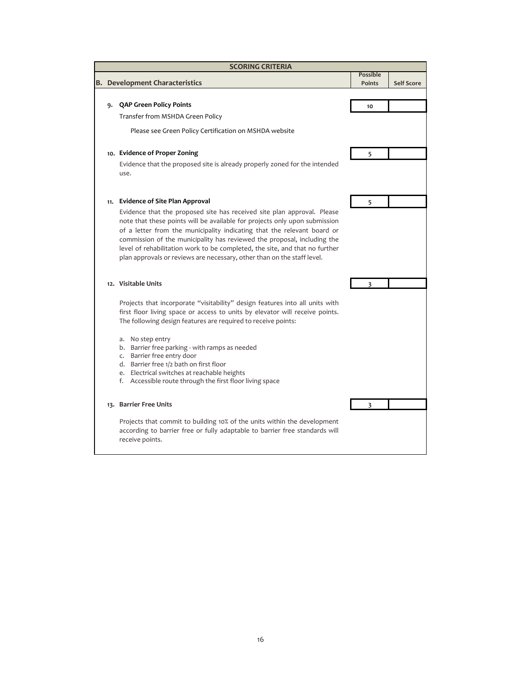| <b>SCORING CRITERIA</b> |                                                                                                                                                                                                                                                                                                              |                                  |                   |  |  |  |  |
|-------------------------|--------------------------------------------------------------------------------------------------------------------------------------------------------------------------------------------------------------------------------------------------------------------------------------------------------------|----------------------------------|-------------------|--|--|--|--|
|                         | <b>Development Characteristics</b>                                                                                                                                                                                                                                                                           | <b>Possible</b><br><b>Points</b> | <b>Self Score</b> |  |  |  |  |
|                         |                                                                                                                                                                                                                                                                                                              |                                  |                   |  |  |  |  |
|                         | 9. QAP Green Policy Points                                                                                                                                                                                                                                                                                   | 10                               |                   |  |  |  |  |
|                         | Transfer from MSHDA Green Policy                                                                                                                                                                                                                                                                             |                                  |                   |  |  |  |  |
|                         | Please see Green Policy Certification on MSHDA website                                                                                                                                                                                                                                                       |                                  |                   |  |  |  |  |
|                         | 10. Evidence of Proper Zoning                                                                                                                                                                                                                                                                                | 5                                |                   |  |  |  |  |
|                         | Evidence that the proposed site is already properly zoned for the intended<br>use.                                                                                                                                                                                                                           |                                  |                   |  |  |  |  |
|                         | 11. Evidence of Site Plan Approval                                                                                                                                                                                                                                                                           | 5                                |                   |  |  |  |  |
|                         | Evidence that the proposed site has received site plan approval. Please<br>note that these points will be available for projects only upon submission                                                                                                                                                        |                                  |                   |  |  |  |  |
|                         | of a letter from the municipality indicating that the relevant board or<br>commission of the municipality has reviewed the proposal, including the<br>level of rehabilitation work to be completed, the site, and that no further<br>plan approvals or reviews are necessary, other than on the staff level. |                                  |                   |  |  |  |  |
|                         | 12. Visitable Units                                                                                                                                                                                                                                                                                          | 3                                |                   |  |  |  |  |
|                         | Projects that incorporate "visitability" design features into all units with<br>first floor living space or access to units by elevator will receive points.<br>The following design features are required to receive points:                                                                                |                                  |                   |  |  |  |  |
|                         | a. No step entry                                                                                                                                                                                                                                                                                             |                                  |                   |  |  |  |  |
|                         | b. Barrier free parking - with ramps as needed                                                                                                                                                                                                                                                               |                                  |                   |  |  |  |  |
|                         | c. Barrier free entry door<br>d. Barrier free 1/2 bath on first floor                                                                                                                                                                                                                                        |                                  |                   |  |  |  |  |
|                         | e. Electrical switches at reachable heights                                                                                                                                                                                                                                                                  |                                  |                   |  |  |  |  |
|                         | f. Accessible route through the first floor living space                                                                                                                                                                                                                                                     |                                  |                   |  |  |  |  |
|                         | 13. Barrier Free Units                                                                                                                                                                                                                                                                                       | 3                                |                   |  |  |  |  |
|                         | Projects that commit to building 10% of the units within the development<br>according to barrier free or fully adaptable to barrier free standards will<br>receive points.                                                                                                                                   |                                  |                   |  |  |  |  |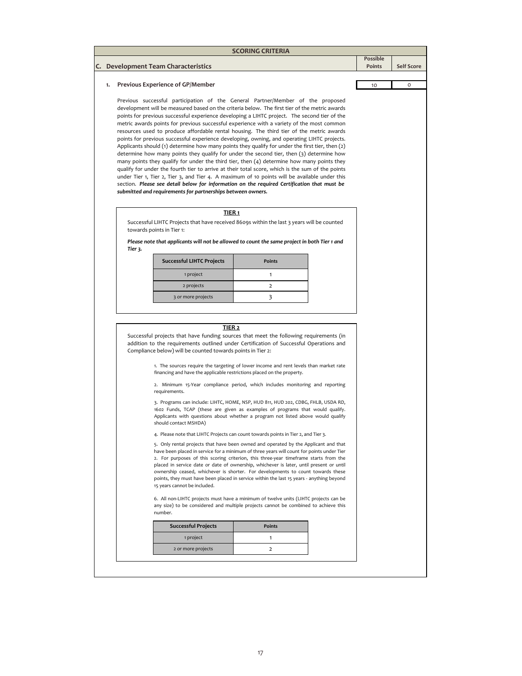## **C. Development Team Characteristics Possible Self Score 1.** 10 0 **Previous Experience of GP/Member** 1 project 1 and 1 and 1 and 1 and 1 and 1 and 1 and 1 and 1 and 1 and 1 and 1 and 1 and 1 and 1 and 1 and 1 and 1 and 1 and 1 and 1 and 1 and 1 and 1 and 1 and 1 and 1 and 1 and 1 and 1 and 1 and 1 and 1 and 1 and 1 and 1 Previous successful participation of the General Partner/Member of the proposed development will be measured based on the criteria below. The first tier of the metric awards points for previous successful experience developing a LIHTC project. The second tier of the metric awards points for previous successful experience with a variety of the most common resources used to produce affordable rental housing. The third tier of the metric awards points for previous successful experience developing, owning, and operating LIHTC projects. Applicants should (1) determine how many points they qualify for under the first tier, then (2) determine how many points they qualify for under the second tier, then (3) determine how many points they qualify for under the third tier, then (4) determine how many points they qualify for under the fourth tier to arrive at their total score, which is the sum of the points under Tier 1, Tier 2, Tier 3, and Tier 4. A maximum of 10 points will be available under this section. *Please see detail below for information on the required Certification that must be submitted and requirements for partnerships between owners.* **TIER 2** Successful projects that have funding sources that meet the following requirements (in addition to the requirements outlined under Certification of Successful Operations and Compliance below) will be counted towards points in Tier 2: 1. The sources require the targeting of lower income and rent levels than market rate financing and have the applicable restrictions placed on the property. **Successful LIHTC Projects Points** *Please note that applicants will not be allowed to count the same project in both Tier 1 and Tier 3.* 1 project 5. Only rental projects that have been owned and operated by the Applicant and that have been placed in service for a minimum of three years will count for points under Tier 2. For purposes of this scoring criterion, this three‐year timeframe starts from the placed in service date or date of ownership, whichever is later, until present or until ownership ceased, whichever is shorter. For developments to count towards these points, they must have been placed in service within the last 15 years ‐ anything beyond 15 years cannot be included. 6. All non‐LIHTC projects must have a minimum of twelve units (LIHTC projects can be any size) to be considered and multiple projects cannot be combined to achieve this number. **Successful Projects Points** 2 or more projects 2 1 2 projects 2 2. Minimum 15‐Year compliance period, which includes monitoring and reporting requirements. 3. Programs can include: LIHTC, HOME, NSP, HUD 811, HUD 202, CDBG, FHLB, USDA RD, 1602 Funds, TCAP (these are given as examples of programs that would qualify. Applicants with questions about whether a program not listed above would qualify should contact MSHDA) 4. Please note that LIHTC Projects can count towards points in Tier 2, and Tier 3. **SCORING CRITERIA** Successful LIHTC Projects that have received 8609s within the last 3 years will be counted towards points in Tier 1: **TIER 1** 3 or more projects 3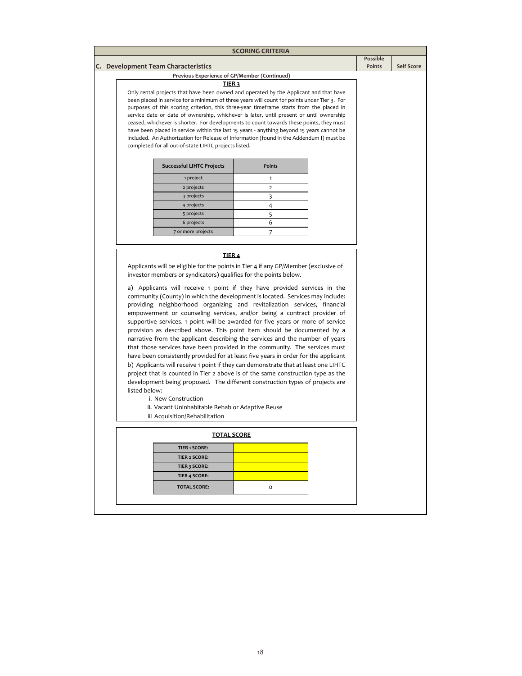|                                     |                                                                                                                                                                                                                                                                                                                                                                                                                                                                                                                                                                                                                                                                                                                                                                                                                                                                                                                                                                                                                                                                                                                                                                                              | <b>SCORING CRITERIA</b>                                                                                                                                                                |                           |                   |  |
|-------------------------------------|----------------------------------------------------------------------------------------------------------------------------------------------------------------------------------------------------------------------------------------------------------------------------------------------------------------------------------------------------------------------------------------------------------------------------------------------------------------------------------------------------------------------------------------------------------------------------------------------------------------------------------------------------------------------------------------------------------------------------------------------------------------------------------------------------------------------------------------------------------------------------------------------------------------------------------------------------------------------------------------------------------------------------------------------------------------------------------------------------------------------------------------------------------------------------------------------|----------------------------------------------------------------------------------------------------------------------------------------------------------------------------------------|---------------------------|-------------------|--|
| C. Development Team Characteristics |                                                                                                                                                                                                                                                                                                                                                                                                                                                                                                                                                                                                                                                                                                                                                                                                                                                                                                                                                                                                                                                                                                                                                                                              |                                                                                                                                                                                        | <b>Possible</b><br>Points | <b>Self Score</b> |  |
|                                     | Previous Experience of GP/Member (Continued)                                                                                                                                                                                                                                                                                                                                                                                                                                                                                                                                                                                                                                                                                                                                                                                                                                                                                                                                                                                                                                                                                                                                                 |                                                                                                                                                                                        |                           |                   |  |
|                                     | <b>TIER3</b>                                                                                                                                                                                                                                                                                                                                                                                                                                                                                                                                                                                                                                                                                                                                                                                                                                                                                                                                                                                                                                                                                                                                                                                 |                                                                                                                                                                                        |                           |                   |  |
|                                     |                                                                                                                                                                                                                                                                                                                                                                                                                                                                                                                                                                                                                                                                                                                                                                                                                                                                                                                                                                                                                                                                                                                                                                                              | Only rental projects that have been owned and operated by the Applicant and that have                                                                                                  |                           |                   |  |
|                                     |                                                                                                                                                                                                                                                                                                                                                                                                                                                                                                                                                                                                                                                                                                                                                                                                                                                                                                                                                                                                                                                                                                                                                                                              | been placed in service for a minimum of three years will count for points under Tier 3. For<br>purposes of this scoring criterion, this three-year timeframe starts from the placed in |                           |                   |  |
|                                     |                                                                                                                                                                                                                                                                                                                                                                                                                                                                                                                                                                                                                                                                                                                                                                                                                                                                                                                                                                                                                                                                                                                                                                                              | service date or date of ownership, whichever is later, until present or until ownership                                                                                                |                           |                   |  |
|                                     |                                                                                                                                                                                                                                                                                                                                                                                                                                                                                                                                                                                                                                                                                                                                                                                                                                                                                                                                                                                                                                                                                                                                                                                              | ceased, whichever is shorter. For developments to count towards these points, they must                                                                                                |                           |                   |  |
|                                     |                                                                                                                                                                                                                                                                                                                                                                                                                                                                                                                                                                                                                                                                                                                                                                                                                                                                                                                                                                                                                                                                                                                                                                                              | have been placed in service within the last 15 years - anything beyond 15 years cannot be                                                                                              |                           |                   |  |
|                                     | completed for all out-of-state LIHTC projects listed.                                                                                                                                                                                                                                                                                                                                                                                                                                                                                                                                                                                                                                                                                                                                                                                                                                                                                                                                                                                                                                                                                                                                        | included. An Authorization for Release of Information (found in the Addendum I) must be                                                                                                |                           |                   |  |
|                                     |                                                                                                                                                                                                                                                                                                                                                                                                                                                                                                                                                                                                                                                                                                                                                                                                                                                                                                                                                                                                                                                                                                                                                                                              |                                                                                                                                                                                        |                           |                   |  |
|                                     | <b>Successful LIHTC Projects</b>                                                                                                                                                                                                                                                                                                                                                                                                                                                                                                                                                                                                                                                                                                                                                                                                                                                                                                                                                                                                                                                                                                                                                             | <b>Points</b>                                                                                                                                                                          |                           |                   |  |
|                                     | 1 project                                                                                                                                                                                                                                                                                                                                                                                                                                                                                                                                                                                                                                                                                                                                                                                                                                                                                                                                                                                                                                                                                                                                                                                    | 1                                                                                                                                                                                      |                           |                   |  |
|                                     | 2 projects                                                                                                                                                                                                                                                                                                                                                                                                                                                                                                                                                                                                                                                                                                                                                                                                                                                                                                                                                                                                                                                                                                                                                                                   | $\overline{2}$                                                                                                                                                                         |                           |                   |  |
|                                     | 3 projects                                                                                                                                                                                                                                                                                                                                                                                                                                                                                                                                                                                                                                                                                                                                                                                                                                                                                                                                                                                                                                                                                                                                                                                   | 3                                                                                                                                                                                      |                           |                   |  |
|                                     | 4 projects                                                                                                                                                                                                                                                                                                                                                                                                                                                                                                                                                                                                                                                                                                                                                                                                                                                                                                                                                                                                                                                                                                                                                                                   | 4                                                                                                                                                                                      |                           |                   |  |
|                                     | 5 projects                                                                                                                                                                                                                                                                                                                                                                                                                                                                                                                                                                                                                                                                                                                                                                                                                                                                                                                                                                                                                                                                                                                                                                                   | 5                                                                                                                                                                                      |                           |                   |  |
|                                     | 6 projects                                                                                                                                                                                                                                                                                                                                                                                                                                                                                                                                                                                                                                                                                                                                                                                                                                                                                                                                                                                                                                                                                                                                                                                   | 6                                                                                                                                                                                      |                           |                   |  |
|                                     | 7 or more projects                                                                                                                                                                                                                                                                                                                                                                                                                                                                                                                                                                                                                                                                                                                                                                                                                                                                                                                                                                                                                                                                                                                                                                           | 7                                                                                                                                                                                      |                           |                   |  |
|                                     |                                                                                                                                                                                                                                                                                                                                                                                                                                                                                                                                                                                                                                                                                                                                                                                                                                                                                                                                                                                                                                                                                                                                                                                              |                                                                                                                                                                                        |                           |                   |  |
|                                     | TIER 4                                                                                                                                                                                                                                                                                                                                                                                                                                                                                                                                                                                                                                                                                                                                                                                                                                                                                                                                                                                                                                                                                                                                                                                       |                                                                                                                                                                                        |                           |                   |  |
|                                     |                                                                                                                                                                                                                                                                                                                                                                                                                                                                                                                                                                                                                                                                                                                                                                                                                                                                                                                                                                                                                                                                                                                                                                                              | Applicants will be eligible for the points in Tier 4 if any GP/Member (exclusive of                                                                                                    |                           |                   |  |
|                                     |                                                                                                                                                                                                                                                                                                                                                                                                                                                                                                                                                                                                                                                                                                                                                                                                                                                                                                                                                                                                                                                                                                                                                                                              |                                                                                                                                                                                        |                           |                   |  |
|                                     | investor members or syndicators) qualifies for the points below.<br>a) Applicants will receive 1 point if they have provided services in the<br>community (County) in which the development is located. Services may include:<br>providing neighborhood organizing and revitalization services, financial<br>empowerment or counseling services, and/or being a contract provider of<br>supportive services. 1 point will be awarded for five years or more of service<br>provision as described above. This point item should be documented by a<br>narrative from the applicant describing the services and the number of years<br>that those services have been provided in the community. The services must<br>have been consistently provided for at least five years in order for the applicant<br>b) Applicants will receive 1 point if they can demonstrate that at least one LIHTC<br>project that is counted in Tier 2 above is of the same construction type as the<br>development being proposed. The different construction types of projects are<br>listed below:<br>i. New Construction<br>ii. Vacant Uninhabitable Rehab or Adaptive Reuse<br>iii Acquisition/Rehabilitation |                                                                                                                                                                                        |                           |                   |  |
|                                     | <b>TOTAL SCORE</b>                                                                                                                                                                                                                                                                                                                                                                                                                                                                                                                                                                                                                                                                                                                                                                                                                                                                                                                                                                                                                                                                                                                                                                           |                                                                                                                                                                                        |                           |                   |  |
|                                     | <b>TIER 1 SCORE:</b>                                                                                                                                                                                                                                                                                                                                                                                                                                                                                                                                                                                                                                                                                                                                                                                                                                                                                                                                                                                                                                                                                                                                                                         |                                                                                                                                                                                        |                           |                   |  |
|                                     | <b>TIER 2 SCORE:</b>                                                                                                                                                                                                                                                                                                                                                                                                                                                                                                                                                                                                                                                                                                                                                                                                                                                                                                                                                                                                                                                                                                                                                                         |                                                                                                                                                                                        |                           |                   |  |
|                                     | TIER 3 SCORE:                                                                                                                                                                                                                                                                                                                                                                                                                                                                                                                                                                                                                                                                                                                                                                                                                                                                                                                                                                                                                                                                                                                                                                                |                                                                                                                                                                                        |                           |                   |  |
|                                     | <b>TIER 4 SCORE:</b>                                                                                                                                                                                                                                                                                                                                                                                                                                                                                                                                                                                                                                                                                                                                                                                                                                                                                                                                                                                                                                                                                                                                                                         |                                                                                                                                                                                        |                           |                   |  |
|                                     | <b>TOTAL SCORE:</b>                                                                                                                                                                                                                                                                                                                                                                                                                                                                                                                                                                                                                                                                                                                                                                                                                                                                                                                                                                                                                                                                                                                                                                          | o                                                                                                                                                                                      |                           |                   |  |
|                                     |                                                                                                                                                                                                                                                                                                                                                                                                                                                                                                                                                                                                                                                                                                                                                                                                                                                                                                                                                                                                                                                                                                                                                                                              |                                                                                                                                                                                        |                           |                   |  |
|                                     |                                                                                                                                                                                                                                                                                                                                                                                                                                                                                                                                                                                                                                                                                                                                                                                                                                                                                                                                                                                                                                                                                                                                                                                              |                                                                                                                                                                                        |                           |                   |  |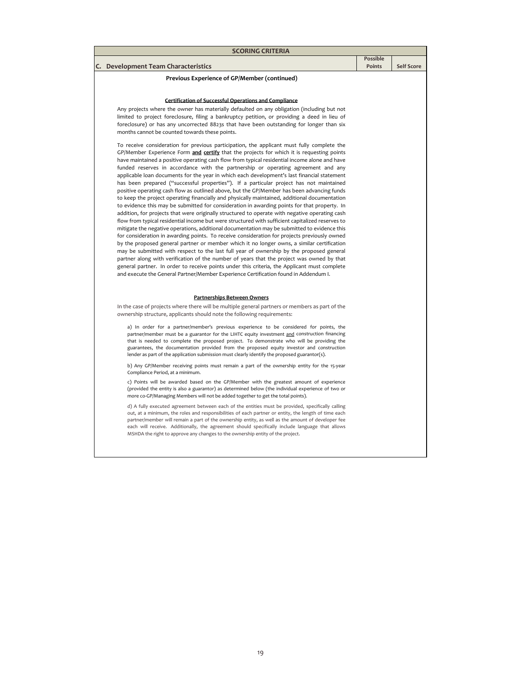| <b>SCORING CRITERIA</b>                                                                                                                                                                                                                                                                                                                                                                                                                                                                                                                                                                                                                                                                                                                                                                                                                                                                                                                                                                                                                                                                                                                                                                                                                                                                                                                                                                                                                                                                                                                                                                                                                                                                                                                                     |                 |                   |
|-------------------------------------------------------------------------------------------------------------------------------------------------------------------------------------------------------------------------------------------------------------------------------------------------------------------------------------------------------------------------------------------------------------------------------------------------------------------------------------------------------------------------------------------------------------------------------------------------------------------------------------------------------------------------------------------------------------------------------------------------------------------------------------------------------------------------------------------------------------------------------------------------------------------------------------------------------------------------------------------------------------------------------------------------------------------------------------------------------------------------------------------------------------------------------------------------------------------------------------------------------------------------------------------------------------------------------------------------------------------------------------------------------------------------------------------------------------------------------------------------------------------------------------------------------------------------------------------------------------------------------------------------------------------------------------------------------------------------------------------------------------|-----------------|-------------------|
|                                                                                                                                                                                                                                                                                                                                                                                                                                                                                                                                                                                                                                                                                                                                                                                                                                                                                                                                                                                                                                                                                                                                                                                                                                                                                                                                                                                                                                                                                                                                                                                                                                                                                                                                                             | <b>Possible</b> |                   |
| C. Development Team Characteristics                                                                                                                                                                                                                                                                                                                                                                                                                                                                                                                                                                                                                                                                                                                                                                                                                                                                                                                                                                                                                                                                                                                                                                                                                                                                                                                                                                                                                                                                                                                                                                                                                                                                                                                         | <b>Points</b>   | <b>Self Score</b> |
| Previous Experience of GP/Member (continued)                                                                                                                                                                                                                                                                                                                                                                                                                                                                                                                                                                                                                                                                                                                                                                                                                                                                                                                                                                                                                                                                                                                                                                                                                                                                                                                                                                                                                                                                                                                                                                                                                                                                                                                |                 |                   |
| <b>Certification of Successful Operations and Compliance</b><br>Any projects where the owner has materially defaulted on any obligation (including but not<br>limited to project foreclosure, filing a bankruptcy petition, or providing a deed in lieu of<br>foreclosure) or has any uncorrected 8823s that have been outstanding for longer than six<br>months cannot be counted towards these points.                                                                                                                                                                                                                                                                                                                                                                                                                                                                                                                                                                                                                                                                                                                                                                                                                                                                                                                                                                                                                                                                                                                                                                                                                                                                                                                                                    |                 |                   |
| To receive consideration for previous participation, the applicant must fully complete the<br>GP/Member Experience Form and certify that the projects for which it is requesting points<br>have maintained a positive operating cash flow from typical residential income alone and have<br>funded reserves in accordance with the partnership or operating agreement and any<br>applicable loan documents for the year in which each development's last financial statement<br>has been prepared ("successful properties"). If a particular project has not maintained<br>positive operating cash flow as outlined above, but the GP/Member has been advancing funds<br>to keep the project operating financially and physically maintained, additional documentation<br>to evidence this may be submitted for consideration in awarding points for that property. In<br>addition, for projects that were originally structured to operate with negative operating cash<br>flow from typical residential income but were structured with sufficient capitalized reserves to<br>mitigate the negative operations, additional documentation may be submitted to evidence this<br>for consideration in awarding points. To receive consideration for projects previously owned<br>by the proposed general partner or member which it no longer owns, a similar certification<br>may be submitted with respect to the last full year of ownership by the proposed general<br>partner along with verification of the number of years that the project was owned by that<br>general partner. In order to receive points under this criteria, the Applicant must complete<br>and execute the General Partner/Member Experience Certification found in Addendum I. |                 |                   |
| Partnerships Between Owners                                                                                                                                                                                                                                                                                                                                                                                                                                                                                                                                                                                                                                                                                                                                                                                                                                                                                                                                                                                                                                                                                                                                                                                                                                                                                                                                                                                                                                                                                                                                                                                                                                                                                                                                 |                 |                   |
| In the case of projects where there will be multiple general partners or members as part of the<br>ownership structure, applicants should note the following requirements:                                                                                                                                                                                                                                                                                                                                                                                                                                                                                                                                                                                                                                                                                                                                                                                                                                                                                                                                                                                                                                                                                                                                                                                                                                                                                                                                                                                                                                                                                                                                                                                  |                 |                   |
| a) In order for a partner/member's previous experience to be considered for points, the<br>partner/member must be a guarantor for the LIHTC equity investment and construction financing<br>that is needed to complete the proposed project. To demonstrate who will be providing the<br>guarantees, the documentation provided from the proposed equity investor and construction<br>lender as part of the application submission must clearly identify the proposed guarantor(s).                                                                                                                                                                                                                                                                                                                                                                                                                                                                                                                                                                                                                                                                                                                                                                                                                                                                                                                                                                                                                                                                                                                                                                                                                                                                         |                 |                   |
| b) Any GP/Member receiving points must remain a part of the ownership entity for the 15-year<br>Compliance Period, at a minimum.                                                                                                                                                                                                                                                                                                                                                                                                                                                                                                                                                                                                                                                                                                                                                                                                                                                                                                                                                                                                                                                                                                                                                                                                                                                                                                                                                                                                                                                                                                                                                                                                                            |                 |                   |
| c) Points will be awarded based on the GP/Member with the greatest amount of experience<br>(provided the entity is also a guarantor) as determined below (the individual experience of two or<br>more co-GP/Managing Members will not be added together to get the total points).                                                                                                                                                                                                                                                                                                                                                                                                                                                                                                                                                                                                                                                                                                                                                                                                                                                                                                                                                                                                                                                                                                                                                                                                                                                                                                                                                                                                                                                                           |                 |                   |
| d) A fully executed agreement between each of the entities must be provided, specifically calling<br>out, at a minimum, the roles and responsibilities of each partner or entity, the length of time each<br>partner/member will remain a part of the ownership entity, as well as the amount of developer fee<br>each will receive. Additionally, the agreement should specifically include language that allows<br>MSHDA the right to approve any changes to the ownership entity of the project.                                                                                                                                                                                                                                                                                                                                                                                                                                                                                                                                                                                                                                                                                                                                                                                                                                                                                                                                                                                                                                                                                                                                                                                                                                                         |                 |                   |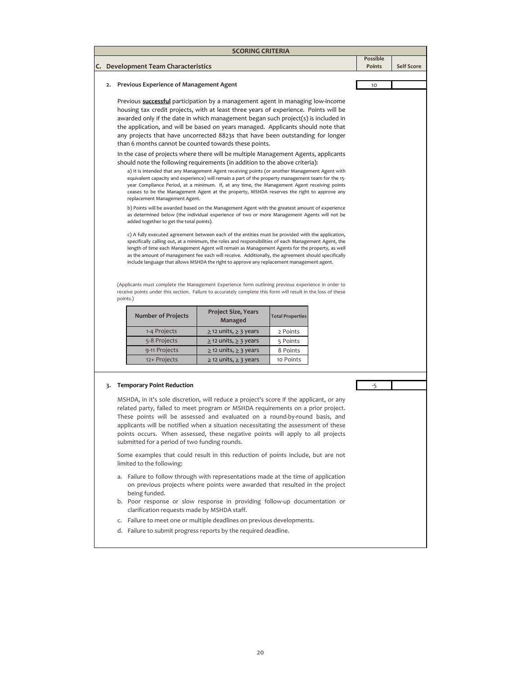|    | C. Development Team Characteristics                                                                                                                                                                                            |                                       |                         | <b>Possible</b><br>Points |  |
|----|--------------------------------------------------------------------------------------------------------------------------------------------------------------------------------------------------------------------------------|---------------------------------------|-------------------------|---------------------------|--|
|    |                                                                                                                                                                                                                                |                                       |                         |                           |  |
|    | <b>Previous Experience of Management Agent</b>                                                                                                                                                                                 |                                       |                         | 10                        |  |
|    | Previous <b>successful</b> participation by a management agent in managing low-income                                                                                                                                          |                                       |                         |                           |  |
|    | housing tax credit projects, with at least three years of experience. Points will be                                                                                                                                           |                                       |                         |                           |  |
|    | awarded only if the date in which management began such project(s) is included in<br>the application, and will be based on years managed. Applicants should note that                                                          |                                       |                         |                           |  |
|    | any projects that have uncorrected 8823s that have been outstanding for longer                                                                                                                                                 |                                       |                         |                           |  |
|    | than 6 months cannot be counted towards these points.                                                                                                                                                                          |                                       |                         |                           |  |
|    | In the case of projects where there will be multiple Management Agents, applicants                                                                                                                                             |                                       |                         |                           |  |
|    | should note the following requirements (in addition to the above criteria):<br>a) It is intended that any Management Agent receiving points (or another Management Agent with                                                  |                                       |                         |                           |  |
|    | equivalent capacity and experience) will remain a part of the property management team for the 15-                                                                                                                             |                                       |                         |                           |  |
|    | year Compliance Period, at a minimum. If, at any time, the Management Agent receiving points<br>ceases to be the Management Agent at the property, MSHDA reserves the right to approve any                                     |                                       |                         |                           |  |
|    | replacement Management Agent.                                                                                                                                                                                                  |                                       |                         |                           |  |
|    | b) Points will be awarded based on the Management Agent with the greatest amount of experience                                                                                                                                 |                                       |                         |                           |  |
|    | as determined below (the individual experience of two or more Management Agents will not be<br>added together to get the total points).                                                                                        |                                       |                         |                           |  |
|    | c) A fully executed agreement between each of the entities must be provided with the application,                                                                                                                              |                                       |                         |                           |  |
|    | specifically calling out, at a minimum, the roles and responsibilities of each Management Agent, the                                                                                                                           |                                       |                         |                           |  |
|    | length of time each Management Agent will remain as Management Agents for the property, as well<br>as the amount of management fee each will receive. Additionally, the agreement should specifically                          |                                       |                         |                           |  |
|    | include language that allows MSHDA the right to approve any replacement management agent.                                                                                                                                      |                                       |                         |                           |  |
|    |                                                                                                                                                                                                                                |                                       |                         |                           |  |
|    |                                                                                                                                                                                                                                |                                       |                         |                           |  |
|    | (Applicants must complete the Management Experience form outlining previous experience in order to<br>receive points under this section. Failure to accurately complete this form will result in the loss of these<br>points.) |                                       |                         |                           |  |
|    | <b>Number of Projects</b>                                                                                                                                                                                                      | <b>Project Size, Years</b><br>Managed | <b>Total Properties</b> |                           |  |
|    | 1-4 Projects                                                                                                                                                                                                                   | $\geq$ 12 units, $\geq$ 3 years       | 2 Points                |                           |  |
|    | 5-8 Projects                                                                                                                                                                                                                   | $\geq$ 12 units, $\geq$ 3 years       | 5 Points                |                           |  |
|    | 9-11 Projects                                                                                                                                                                                                                  | $\geq$ 12 units, $\geq$ 3 years       | 8 Points                |                           |  |
|    | 12+ Projects                                                                                                                                                                                                                   | $\geq$ 12 units, $\geq$ 3 years       | 10 Points               |                           |  |
|    |                                                                                                                                                                                                                                |                                       |                         |                           |  |
|    | <b>Temporary Point Reduction</b>                                                                                                                                                                                               |                                       |                         | -5                        |  |
|    | MSHDA, in it's sole discretion, will reduce a project's score if the applicant, or any                                                                                                                                         |                                       |                         |                           |  |
|    | related party, failed to meet program or MSHDA requirements on a prior project.                                                                                                                                                |                                       |                         |                           |  |
|    | These points will be assessed and evaluated on a round-by-round basis, and                                                                                                                                                     |                                       |                         |                           |  |
|    | applicants will be notified when a situation necessitating the assessment of these                                                                                                                                             |                                       |                         |                           |  |
|    | points occurs. When assessed, these negative points will apply to all projects<br>submitted for a period of two funding rounds.                                                                                                |                                       |                         |                           |  |
|    |                                                                                                                                                                                                                                |                                       |                         |                           |  |
|    | Some examples that could result in this reduction of points include, but are not<br>limited to the following:                                                                                                                  |                                       |                         |                           |  |
|    |                                                                                                                                                                                                                                |                                       |                         |                           |  |
|    | a. Failure to follow through with representations made at the time of application<br>on previous projects where points were awarded that resulted in the project                                                               |                                       |                         |                           |  |
|    | being funded.<br>b. Poor response or slow response in providing follow-up documentation or                                                                                                                                     |                                       |                         |                           |  |
| 3. | clarification requests made by MSHDA staff.<br>c. Failure to meet one or multiple deadlines on previous developments.                                                                                                          |                                       |                         |                           |  |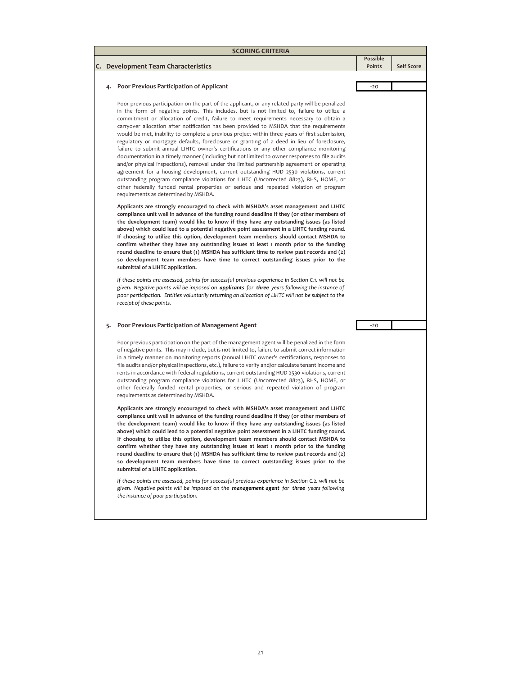|    | <b>SCORING CRITERIA</b> |                                                                                                                                                                                                                                                                                                                                                                                                                                                                                                                                                                                                                                                                                                                                                                                                                                                                                                                                                                                                                                                                                                                                                                                                    |          |                   |  |  |  |  |  |
|----|-------------------------|----------------------------------------------------------------------------------------------------------------------------------------------------------------------------------------------------------------------------------------------------------------------------------------------------------------------------------------------------------------------------------------------------------------------------------------------------------------------------------------------------------------------------------------------------------------------------------------------------------------------------------------------------------------------------------------------------------------------------------------------------------------------------------------------------------------------------------------------------------------------------------------------------------------------------------------------------------------------------------------------------------------------------------------------------------------------------------------------------------------------------------------------------------------------------------------------------|----------|-------------------|--|--|--|--|--|
|    |                         |                                                                                                                                                                                                                                                                                                                                                                                                                                                                                                                                                                                                                                                                                                                                                                                                                                                                                                                                                                                                                                                                                                                                                                                                    | Possible |                   |  |  |  |  |  |
| C. |                         | Development Team Characteristics                                                                                                                                                                                                                                                                                                                                                                                                                                                                                                                                                                                                                                                                                                                                                                                                                                                                                                                                                                                                                                                                                                                                                                   | Points   | <b>Self Score</b> |  |  |  |  |  |
|    |                         |                                                                                                                                                                                                                                                                                                                                                                                                                                                                                                                                                                                                                                                                                                                                                                                                                                                                                                                                                                                                                                                                                                                                                                                                    |          |                   |  |  |  |  |  |
|    | 4.                      | <b>Poor Previous Participation of Applicant</b>                                                                                                                                                                                                                                                                                                                                                                                                                                                                                                                                                                                                                                                                                                                                                                                                                                                                                                                                                                                                                                                                                                                                                    | $-20$    |                   |  |  |  |  |  |
|    |                         | Poor previous participation on the part of the applicant, or any related party will be penalized<br>in the form of negative points. This includes, but is not limited to, failure to utilize a<br>commitment or allocation of credit, failure to meet requirements necessary to obtain a<br>carryover allocation after notification has been provided to MSHDA that the requirements<br>would be met, inability to complete a previous project within three years of first submission,<br>regulatory or mortgage defaults, foreclosure or granting of a deed in lieu of foreclosure,<br>failure to submit annual LIHTC owner's certifications or any other compliance monitoring<br>documentation in a timely manner (including but not limited to owner responses to file audits<br>and/or physical inspections), removal under the limited partnership agreement or operating<br>agreement for a housing development, current outstanding HUD 2530 violations, current<br>outstanding program compliance violations for LIHTC (Uncorrected 8823), RHS, HOME, or<br>other federally funded rental properties or serious and repeated violation of program<br>requirements as determined by MSHDA. |          |                   |  |  |  |  |  |
|    |                         | Applicants are strongly encouraged to check with MSHDA's asset management and LIHTC<br>compliance unit well in advance of the funding round deadline if they (or other members of<br>the development team) would like to know if they have any outstanding issues (as listed<br>above) which could lead to a potential negative point assessment in a LIHTC funding round.<br>If choosing to utilize this option, development team members should contact MSHDA to<br>confirm whether they have any outstanding issues at least 1 month prior to the funding<br>round deadline to ensure that (1) MSHDA has sufficient time to review past records and (2)<br>so development team members have time to correct outstanding issues prior to the<br>submittal of a LIHTC application.<br>If these points are assessed, points for successful previous experience in Section C.1. will not be<br>given. Negative points will be imposed on applicants for three years following the instance of<br>poor participation. Entities voluntarily returning an allocation of LIHTC will not be subject to the<br>receipt of these points.                                                                   |          |                   |  |  |  |  |  |
|    | 5.                      | Poor Previous Participation of Management Agent                                                                                                                                                                                                                                                                                                                                                                                                                                                                                                                                                                                                                                                                                                                                                                                                                                                                                                                                                                                                                                                                                                                                                    | $-20$    |                   |  |  |  |  |  |
|    |                         | Poor previous participation on the part of the management agent will be penalized in the form<br>of negative points. This may include, but is not limited to, failure to submit correct information<br>in a timely manner on monitoring reports (annual LIHTC owner's certifications, responses to<br>file audits and/or physical inspections, etc.), failure to verify and/or calculate tenant income and<br>rents in accordance with federal regulations, current outstanding HUD 2530 violations, current<br>outstanding program compliance violations for LIHTC (Uncorrected 8823), RHS, HOME, or<br>other federally funded rental properties, or serious and repeated violation of program<br>requirements as determined by MSHDA.                                                                                                                                                                                                                                                                                                                                                                                                                                                            |          |                   |  |  |  |  |  |
|    |                         | Applicants are strongly encouraged to check with MSHDA's asset management and LIHTC<br>compliance unit well in advance of the funding round deadline if they (or other members of<br>the development team) would like to know if they have any outstanding issues (as listed<br>above) which could lead to a potential negative point assessment in a LIHTC funding round.<br>If choosing to utilize this option, development team members should contact MSHDA to<br>confirm whether they have any outstanding issues at least 1 month prior to the funding<br>round deadline to ensure that (1) MSHDA has sufficient time to review past records and (2)<br>so development team members have time to correct outstanding issues prior to the<br>submittal of a LIHTC application.                                                                                                                                                                                                                                                                                                                                                                                                                |          |                   |  |  |  |  |  |
|    |                         | If these points are assessed, points for successful previous experience in Section C.2. will not be<br>given. Negative points will be imposed on the management agent for three years following<br>the instance of poor participation.                                                                                                                                                                                                                                                                                                                                                                                                                                                                                                                                                                                                                                                                                                                                                                                                                                                                                                                                                             |          |                   |  |  |  |  |  |
|    |                         |                                                                                                                                                                                                                                                                                                                                                                                                                                                                                                                                                                                                                                                                                                                                                                                                                                                                                                                                                                                                                                                                                                                                                                                                    |          |                   |  |  |  |  |  |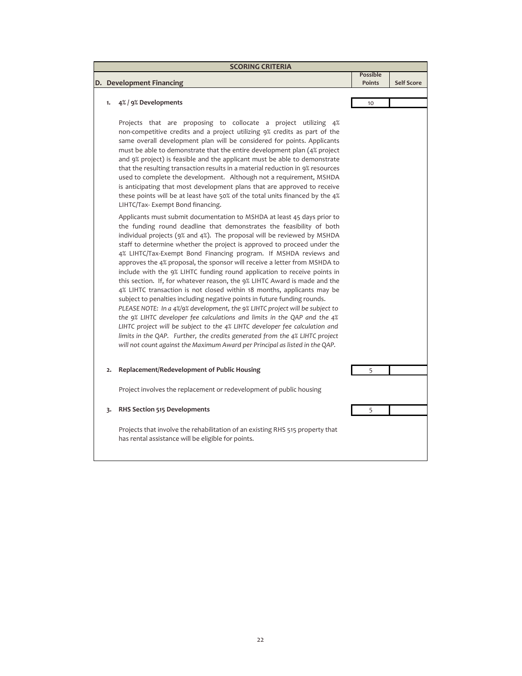| <b>SCORING CRITERIA</b> |                                                                                                                                                                                                                                                                                                                                                                                                                                                                                                                                                                                                                                                                                                                                                                                                                                                                                                                                                                                                                                                                                                      |                           |                   |  |  |  |  |
|-------------------------|------------------------------------------------------------------------------------------------------------------------------------------------------------------------------------------------------------------------------------------------------------------------------------------------------------------------------------------------------------------------------------------------------------------------------------------------------------------------------------------------------------------------------------------------------------------------------------------------------------------------------------------------------------------------------------------------------------------------------------------------------------------------------------------------------------------------------------------------------------------------------------------------------------------------------------------------------------------------------------------------------------------------------------------------------------------------------------------------------|---------------------------|-------------------|--|--|--|--|
|                         | D. Development Financing                                                                                                                                                                                                                                                                                                                                                                                                                                                                                                                                                                                                                                                                                                                                                                                                                                                                                                                                                                                                                                                                             | <b>Possible</b><br>Points | <b>Self Score</b> |  |  |  |  |
|                         |                                                                                                                                                                                                                                                                                                                                                                                                                                                                                                                                                                                                                                                                                                                                                                                                                                                                                                                                                                                                                                                                                                      |                           |                   |  |  |  |  |
| 1.                      | 4% / 9% Developments                                                                                                                                                                                                                                                                                                                                                                                                                                                                                                                                                                                                                                                                                                                                                                                                                                                                                                                                                                                                                                                                                 | 10                        |                   |  |  |  |  |
|                         | Projects that are proposing to collocate a project utilizing 4%<br>non-competitive credits and a project utilizing 9% credits as part of the<br>same overall development plan will be considered for points. Applicants<br>must be able to demonstrate that the entire development plan (4% project<br>and 9% project) is feasible and the applicant must be able to demonstrate<br>that the resulting transaction results in a material reduction in 9% resources<br>used to complete the development. Although not a requirement, MSHDA<br>is anticipating that most development plans that are approved to receive<br>these points will be at least have 50% of the total units financed by the 4%<br>LIHTC/Tax-Exempt Bond financing.<br>Applicants must submit documentation to MSHDA at least 45 days prior to                                                                                                                                                                                                                                                                                 |                           |                   |  |  |  |  |
|                         | the funding round deadline that demonstrates the feasibility of both<br>individual projects (9% and 4%). The proposal will be reviewed by MSHDA<br>staff to determine whether the project is approved to proceed under the<br>4% LIHTC/Tax-Exempt Bond Financing program. If MSHDA reviews and<br>approves the 4% proposal, the sponsor will receive a letter from MSHDA to<br>include with the 9% LIHTC funding round application to receive points in<br>this section. If, for whatever reason, the 9% LIHTC Award is made and the<br>4% LIHTC transaction is not closed within 18 months, applicants may be<br>subject to penalties including negative points in future funding rounds.<br>PLEASE NOTE: In a 4%/9% development, the 9% LIHTC project will be subject to<br>the 9% LIHTC developer fee calculations and limits in the QAP and the 4%<br>LIHTC project will be subject to the 4% LIHTC developer fee calculation and<br>limits in the QAP. Further, the credits generated from the 4% LIHTC project<br>will not count against the Maximum Award per Principal as listed in the QAP. |                           |                   |  |  |  |  |
| 2.                      | Replacement/Redevelopment of Public Housing                                                                                                                                                                                                                                                                                                                                                                                                                                                                                                                                                                                                                                                                                                                                                                                                                                                                                                                                                                                                                                                          | 5                         |                   |  |  |  |  |
|                         | Project involves the replacement or redevelopment of public housing                                                                                                                                                                                                                                                                                                                                                                                                                                                                                                                                                                                                                                                                                                                                                                                                                                                                                                                                                                                                                                  |                           |                   |  |  |  |  |
| 3.                      | RHS Section 515 Developments                                                                                                                                                                                                                                                                                                                                                                                                                                                                                                                                                                                                                                                                                                                                                                                                                                                                                                                                                                                                                                                                         | 5                         |                   |  |  |  |  |
|                         | Projects that involve the rehabilitation of an existing RHS 515 property that<br>has rental assistance will be eligible for points.                                                                                                                                                                                                                                                                                                                                                                                                                                                                                                                                                                                                                                                                                                                                                                                                                                                                                                                                                                  |                           |                   |  |  |  |  |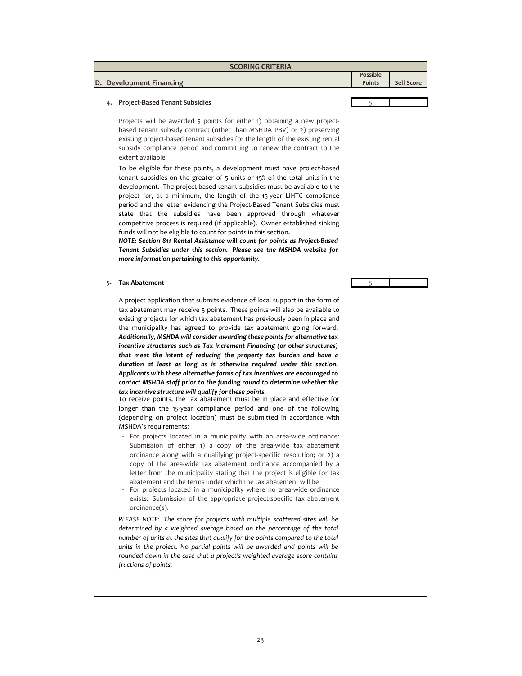|    | D. Development Financing                                                                                                                                                                                                                                                                                                                                                                                                                                                                                                                                                                                                                                                                                                                                                                                                                                                                                                                                                                                                                                                                                                                                                                                                                                                                                                                                                                                                                                                                                                                                                                                                                                                                                 | <b>Possible</b><br>Points | <b>Self Score</b> |
|----|----------------------------------------------------------------------------------------------------------------------------------------------------------------------------------------------------------------------------------------------------------------------------------------------------------------------------------------------------------------------------------------------------------------------------------------------------------------------------------------------------------------------------------------------------------------------------------------------------------------------------------------------------------------------------------------------------------------------------------------------------------------------------------------------------------------------------------------------------------------------------------------------------------------------------------------------------------------------------------------------------------------------------------------------------------------------------------------------------------------------------------------------------------------------------------------------------------------------------------------------------------------------------------------------------------------------------------------------------------------------------------------------------------------------------------------------------------------------------------------------------------------------------------------------------------------------------------------------------------------------------------------------------------------------------------------------------------|---------------------------|-------------------|
| 4. | <b>Project-Based Tenant Subsidies</b>                                                                                                                                                                                                                                                                                                                                                                                                                                                                                                                                                                                                                                                                                                                                                                                                                                                                                                                                                                                                                                                                                                                                                                                                                                                                                                                                                                                                                                                                                                                                                                                                                                                                    | 5                         |                   |
|    | Projects will be awarded 5 points for either 1) obtaining a new project-<br>based tenant subsidy contract (other than MSHDA PBV) or 2) preserving<br>existing project-based tenant subsidies for the length of the existing rental<br>subsidy compliance period and committing to renew the contract to the<br>extent available.                                                                                                                                                                                                                                                                                                                                                                                                                                                                                                                                                                                                                                                                                                                                                                                                                                                                                                                                                                                                                                                                                                                                                                                                                                                                                                                                                                         |                           |                   |
|    | To be eligible for these points, a development must have project-based<br>tenant subsidies on the greater of 5 units or 15% of the total units in the<br>development. The project-based tenant subsidies must be available to the<br>project for, at a minimum, the length of the 15-year LIHTC compliance<br>period and the letter evidencing the Project-Based Tenant Subsidies must<br>state that the subsidies have been approved through whatever<br>competitive process is required (if applicable). Owner established sinking<br>funds will not be eligible to count for points in this section.<br>NOTE: Section 811 Rental Assistance will count for points as Project-Based<br>Tenant Subsidies under this section. Please see the MSHDA website for<br>more information pertaining to this opportunity.                                                                                                                                                                                                                                                                                                                                                                                                                                                                                                                                                                                                                                                                                                                                                                                                                                                                                       |                           |                   |
| 5. | <b>Tax Abatement</b>                                                                                                                                                                                                                                                                                                                                                                                                                                                                                                                                                                                                                                                                                                                                                                                                                                                                                                                                                                                                                                                                                                                                                                                                                                                                                                                                                                                                                                                                                                                                                                                                                                                                                     | 5                         |                   |
|    | A project application that submits evidence of local support in the form of<br>tax abatement may receive 5 points. These points will also be available to<br>existing projects for which tax abatement has previously been in place and<br>the municipality has agreed to provide tax abatement going forward.<br>Additionally, MSHDA will consider awarding these points for alternative tax<br>incentive structures such as Tax Increment Financing (or other structures)<br>that meet the intent of reducing the property tax burden and have a<br>duration at least as long as is otherwise required under this section.<br>Applicants with these alternative forms of tax incentives are encouraged to<br>contact MSHDA staff prior to the funding round to determine whether the<br>tax incentive structure will qualify for these points.<br>To receive points, the tax abatement must be in place and effective for<br>longer than the 15-year compliance period and one of the following<br>(depending on project location) must be submitted in accordance with<br>MSHDA's requirements:<br>- For projects located in a municipality with an area-wide ordinance:<br>Submission of either 1) a copy of the area-wide tax abatement<br>ordinance along with a qualifying project-specific resolution; or 2) a<br>copy of the area-wide tax abatement ordinance accompanied by a<br>letter from the municipality stating that the project is eligible for tax<br>abatement and the terms under which the tax abatement will be<br>- For projects located in a municipality where no area-wide ordinance<br>exists: Submission of the appropriate project-specific tax abatement<br>ordinance(s). |                           |                   |
|    | PLEASE NOTE: The score for projects with multiple scattered sites will be<br>determined by a weighted average based on the percentage of the total<br>number of units at the sites that qualify for the points compared to the total<br>units in the project. No partial points will be awarded and points will be<br>rounded down in the case that a project's weighted average score contains<br>fractions of points.                                                                                                                                                                                                                                                                                                                                                                                                                                                                                                                                                                                                                                                                                                                                                                                                                                                                                                                                                                                                                                                                                                                                                                                                                                                                                  |                           |                   |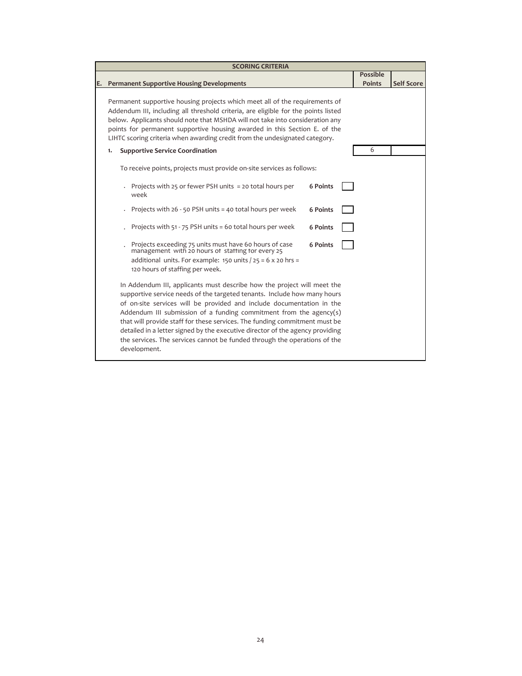| <b>SCORING CRITERIA</b>                                                                                                                                                                                                                                                                                                                                                                                                                                                                                                                                             |                 |                   |
|---------------------------------------------------------------------------------------------------------------------------------------------------------------------------------------------------------------------------------------------------------------------------------------------------------------------------------------------------------------------------------------------------------------------------------------------------------------------------------------------------------------------------------------------------------------------|-----------------|-------------------|
|                                                                                                                                                                                                                                                                                                                                                                                                                                                                                                                                                                     | <b>Possible</b> |                   |
| E. Permanent Supportive Housing Developments                                                                                                                                                                                                                                                                                                                                                                                                                                                                                                                        | <b>Points</b>   | <b>Self Score</b> |
| Permanent supportive housing projects which meet all of the requirements of<br>Addendum III, including all threshold criteria, are eligible for the points listed<br>below. Applicants should note that MSHDA will not take into consideration any<br>points for permanent supportive housing awarded in this Section E. of the<br>LIHTC scoring criteria when awarding credit from the undesignated category.                                                                                                                                                      |                 |                   |
| <b>Supportive Service Coordination</b><br>1.                                                                                                                                                                                                                                                                                                                                                                                                                                                                                                                        | 6               |                   |
| To receive points, projects must provide on-site services as follows:<br>Projects with 25 or fewer PSH units = 20 total hours per<br><b>6 Points</b><br>week<br>Projects with 26 - 50 PSH units = 40 total hours per week<br><b>6 Points</b><br>Projects with 51 - 75 PSH units = 60 total hours per week<br><b>6 Points</b><br>Projects exceeding 75 units must have 60 hours of case<br>management with 20 hours of staffing for every 25<br><b>6 Points</b><br>additional units. For example: 150 units $/$ 25 = 6 x 20 hrs =<br>120 hours of staffing per week. |                 |                   |
| In Addendum III, applicants must describe how the project will meet the<br>supportive service needs of the targeted tenants. Include how many hours<br>of on-site services will be provided and include documentation in the<br>Addendum III submission of a funding commitment from the agency(s)<br>that will provide staff for these services. The funding commitment must be<br>detailed in a letter signed by the executive director of the agency providing<br>the services. The services cannot be funded through the operations of the<br>development.      |                 |                   |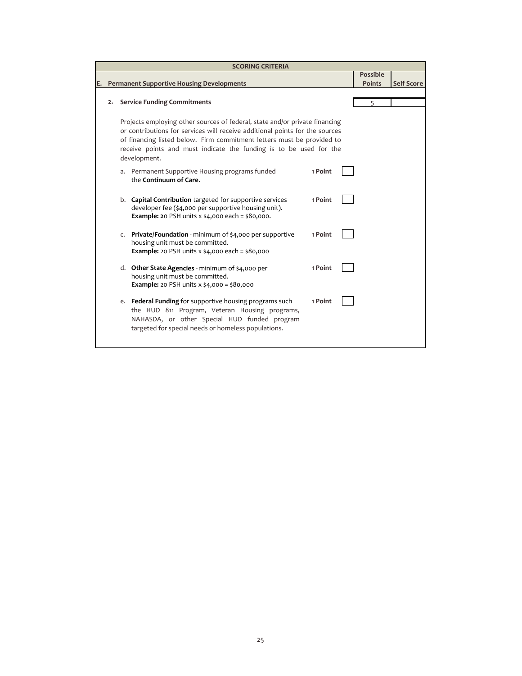|    | <b>SCORING CRITERIA</b> |  |                                                                                                                                                                                                                                                                                                                             |         |  |                 |                   |  |
|----|-------------------------|--|-----------------------------------------------------------------------------------------------------------------------------------------------------------------------------------------------------------------------------------------------------------------------------------------------------------------------------|---------|--|-----------------|-------------------|--|
|    |                         |  |                                                                                                                                                                                                                                                                                                                             |         |  | <b>Possible</b> |                   |  |
| Е. |                         |  | <b>Permanent Supportive Housing Developments</b>                                                                                                                                                                                                                                                                            |         |  | <b>Points</b>   | <b>Self Score</b> |  |
|    |                         |  |                                                                                                                                                                                                                                                                                                                             |         |  |                 |                   |  |
|    | 2.                      |  | <b>Service Funding Commitments</b>                                                                                                                                                                                                                                                                                          |         |  | 5               |                   |  |
|    |                         |  |                                                                                                                                                                                                                                                                                                                             |         |  |                 |                   |  |
|    |                         |  | Projects employing other sources of federal, state and/or private financing<br>or contributions for services will receive additional points for the sources<br>of financing listed below. Firm commitment letters must be provided to<br>receive points and must indicate the funding is to be used for the<br>development. |         |  |                 |                   |  |
|    |                         |  | a. Permanent Supportive Housing programs funded<br>the Continuum of Care.                                                                                                                                                                                                                                                   | 1 Point |  |                 |                   |  |
|    |                         |  | b. Capital Contribution targeted for supportive services<br>developer fee (\$4,000 per supportive housing unit).<br><b>Example: 2</b> 0 PSH units x \$4,000 each = \$80,000.                                                                                                                                                | 1 Point |  |                 |                   |  |
|    |                         |  | c. Private/Foundation - minimum of \$4,000 per supportive<br>housing unit must be committed.<br><b>Example:</b> 20 PSH units x \$4,000 each = \$80,000                                                                                                                                                                      | 1 Point |  |                 |                   |  |
|    |                         |  | d. Other State Agencies - minimum of \$4,000 per<br>housing unit must be committed.<br><b>Example:</b> 20 PSH units x \$4,000 = \$80,000                                                                                                                                                                                    | 1 Point |  |                 |                   |  |
|    |                         |  | e. Federal Funding for supportive housing programs such<br>the HUD 811 Program, Veteran Housing programs,<br>NAHASDA, or other Special HUD funded program<br>targeted for special needs or homeless populations.                                                                                                            | 1 Point |  |                 |                   |  |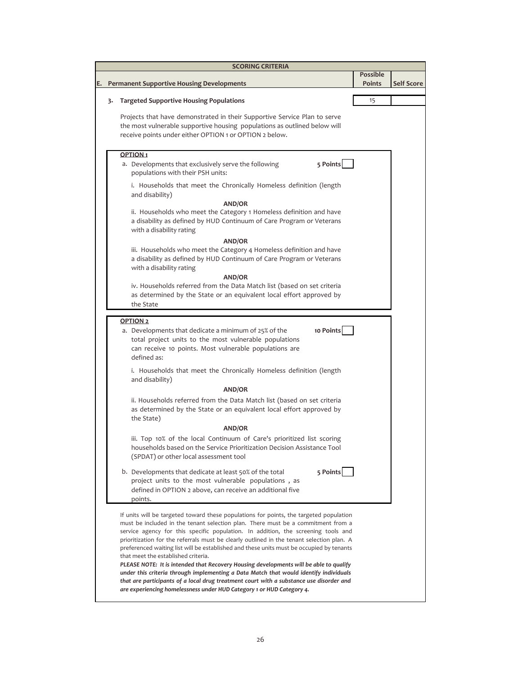| <b>SCORING CRITERIA</b> |    |                                                                                                                                                                                                                                                                                                                                                                                                                                                                                                                                                                                                                                                                                                                                                                                                                                                        |                           |                   |  |  |  |  |
|-------------------------|----|--------------------------------------------------------------------------------------------------------------------------------------------------------------------------------------------------------------------------------------------------------------------------------------------------------------------------------------------------------------------------------------------------------------------------------------------------------------------------------------------------------------------------------------------------------------------------------------------------------------------------------------------------------------------------------------------------------------------------------------------------------------------------------------------------------------------------------------------------------|---------------------------|-------------------|--|--|--|--|
| E.                      |    | <b>Permanent Supportive Housing Developments</b>                                                                                                                                                                                                                                                                                                                                                                                                                                                                                                                                                                                                                                                                                                                                                                                                       | <b>Possible</b><br>Points | <b>Self Score</b> |  |  |  |  |
|                         | 3. | Targeted Supportive Housing Populations                                                                                                                                                                                                                                                                                                                                                                                                                                                                                                                                                                                                                                                                                                                                                                                                                | 15                        |                   |  |  |  |  |
|                         |    | Projects that have demonstrated in their Supportive Service Plan to serve<br>the most vulnerable supportive housing populations as outlined below will<br>receive points under either OPTION 1 or OPTION 2 below.                                                                                                                                                                                                                                                                                                                                                                                                                                                                                                                                                                                                                                      |                           |                   |  |  |  |  |
|                         |    | OPTION <sub>1</sub>                                                                                                                                                                                                                                                                                                                                                                                                                                                                                                                                                                                                                                                                                                                                                                                                                                    |                           |                   |  |  |  |  |
|                         |    | 5 Points<br>a. Developments that exclusively serve the following<br>populations with their PSH units:                                                                                                                                                                                                                                                                                                                                                                                                                                                                                                                                                                                                                                                                                                                                                  |                           |                   |  |  |  |  |
|                         |    | i. Households that meet the Chronically Homeless definition (length<br>and disability)                                                                                                                                                                                                                                                                                                                                                                                                                                                                                                                                                                                                                                                                                                                                                                 |                           |                   |  |  |  |  |
|                         |    | <b>AND/OR</b><br>ii. Households who meet the Category 1 Homeless definition and have<br>a disability as defined by HUD Continuum of Care Program or Veterans<br>with a disability rating                                                                                                                                                                                                                                                                                                                                                                                                                                                                                                                                                                                                                                                               |                           |                   |  |  |  |  |
|                         |    | <b>AND/OR</b><br>iii. Households who meet the Category 4 Homeless definition and have<br>a disability as defined by HUD Continuum of Care Program or Veterans<br>with a disability rating                                                                                                                                                                                                                                                                                                                                                                                                                                                                                                                                                                                                                                                              |                           |                   |  |  |  |  |
|                         |    | <b>AND/OR</b><br>iv. Households referred from the Data Match list (based on set criteria<br>as determined by the State or an equivalent local effort approved by<br>the State                                                                                                                                                                                                                                                                                                                                                                                                                                                                                                                                                                                                                                                                          |                           |                   |  |  |  |  |
|                         |    | <b>OPTION 2</b><br>10 Points<br>a. Developments that dedicate a minimum of 25% of the<br>total project units to the most vulnerable populations<br>can receive 10 points. Most vulnerable populations are<br>defined as:                                                                                                                                                                                                                                                                                                                                                                                                                                                                                                                                                                                                                               |                           |                   |  |  |  |  |
|                         |    | i. Households that meet the Chronically Homeless definition (length<br>and disability)                                                                                                                                                                                                                                                                                                                                                                                                                                                                                                                                                                                                                                                                                                                                                                 |                           |                   |  |  |  |  |
|                         |    | <b>AND/OR</b>                                                                                                                                                                                                                                                                                                                                                                                                                                                                                                                                                                                                                                                                                                                                                                                                                                          |                           |                   |  |  |  |  |
|                         |    | ii. Households referred from the Data Match list (based on set criteria<br>as determined by the State or an equivalent local effort approved by<br>the State)                                                                                                                                                                                                                                                                                                                                                                                                                                                                                                                                                                                                                                                                                          |                           |                   |  |  |  |  |
|                         |    | <b>AND/OR</b>                                                                                                                                                                                                                                                                                                                                                                                                                                                                                                                                                                                                                                                                                                                                                                                                                                          |                           |                   |  |  |  |  |
|                         |    | iii. Top 10% of the local Continuum of Care's prioritized list scoring<br>households based on the Service Prioritization Decision Assistance Tool<br>(SPDAT) or other local assessment tool                                                                                                                                                                                                                                                                                                                                                                                                                                                                                                                                                                                                                                                            |                           |                   |  |  |  |  |
|                         |    | 5 Points<br>b. Developments that dedicate at least 50% of the total<br>project units to the most vulnerable populations, as<br>defined in OPTION 2 above, can receive an additional five<br>points.                                                                                                                                                                                                                                                                                                                                                                                                                                                                                                                                                                                                                                                    |                           |                   |  |  |  |  |
|                         |    | If units will be targeted toward these populations for points, the targeted population<br>must be included in the tenant selection plan. There must be a commitment from a<br>service agency for this specific population. In addition, the screening tools and<br>prioritization for the referrals must be clearly outlined in the tenant selection plan. A<br>preferenced waiting list will be established and these units must be occupied by tenants<br>that meet the established criteria.<br>PLEASE NOTE: It is intended that Recovery Housing developments will be able to qualify<br>under this criteria through implementing a Data Match that would identify individuals<br>that are participants of a local drug treatment court with a substance use disorder and<br>are experiencing homelessness under HUD Category 1 or HUD Category 4. |                           |                   |  |  |  |  |
|                         |    |                                                                                                                                                                                                                                                                                                                                                                                                                                                                                                                                                                                                                                                                                                                                                                                                                                                        |                           |                   |  |  |  |  |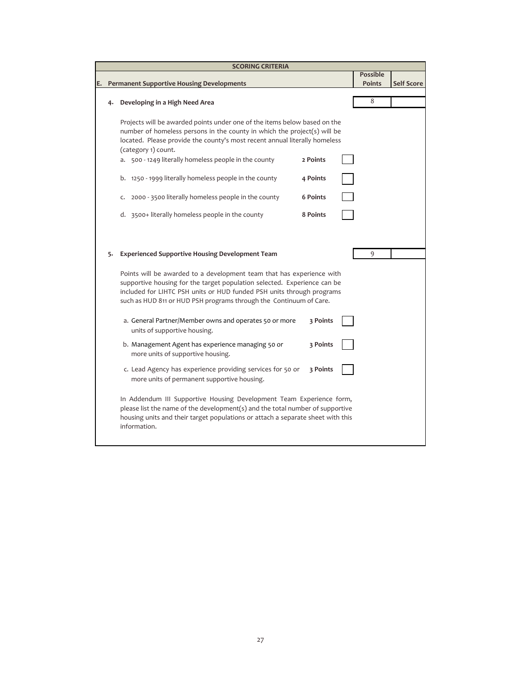|    | <b>SCORING CRITERIA</b> |                                                                                                                                                                                                                                                                                                                     |                 |  |                 |                   |  |  |  |  |
|----|-------------------------|---------------------------------------------------------------------------------------------------------------------------------------------------------------------------------------------------------------------------------------------------------------------------------------------------------------------|-----------------|--|-----------------|-------------------|--|--|--|--|
|    |                         |                                                                                                                                                                                                                                                                                                                     |                 |  | <b>Possible</b> |                   |  |  |  |  |
| E. |                         | <b>Permanent Supportive Housing Developments</b>                                                                                                                                                                                                                                                                    |                 |  | <b>Points</b>   | <b>Self Score</b> |  |  |  |  |
|    | 4.                      | Developing in a High Need Area                                                                                                                                                                                                                                                                                      |                 |  | 8               |                   |  |  |  |  |
|    |                         | Projects will be awarded points under one of the items below based on the<br>number of homeless persons in the county in which the project(s) will be<br>located. Please provide the county's most recent annual literally homeless<br>(category 1) count.<br>a. 500 - 1249 literally homeless people in the county | 2 Points        |  |                 |                   |  |  |  |  |
|    |                         | b. 1250 - 1999 literally homeless people in the county                                                                                                                                                                                                                                                              | 4 Points        |  |                 |                   |  |  |  |  |
|    |                         | 2000 - 3500 literally homeless people in the county<br>c.                                                                                                                                                                                                                                                           | <b>6 Points</b> |  |                 |                   |  |  |  |  |
|    |                         | d. 3500+ literally homeless people in the county                                                                                                                                                                                                                                                                    | 8 Points        |  |                 |                   |  |  |  |  |
|    |                         |                                                                                                                                                                                                                                                                                                                     |                 |  |                 |                   |  |  |  |  |
|    | 5.                      | <b>Experienced Supportive Housing Development Team</b>                                                                                                                                                                                                                                                              |                 |  | 9               |                   |  |  |  |  |
|    |                         | Points will be awarded to a development team that has experience with<br>supportive housing for the target population selected. Experience can be<br>included for LIHTC PSH units or HUD funded PSH units through programs<br>such as HUD 811 or HUD PSH programs through the Continuum of Care.                    |                 |  |                 |                   |  |  |  |  |
|    |                         | a. General Partner/Member owns and operates 50 or more<br>units of supportive housing.                                                                                                                                                                                                                              | 3 Points        |  |                 |                   |  |  |  |  |
|    |                         | b. Management Agent has experience managing 50 or<br>more units of supportive housing.                                                                                                                                                                                                                              | 3 Points        |  |                 |                   |  |  |  |  |
|    |                         | c. Lead Agency has experience providing services for 50 or<br>more units of permanent supportive housing.                                                                                                                                                                                                           | 3 Points        |  |                 |                   |  |  |  |  |
|    |                         | In Addendum III Supportive Housing Development Team Experience form,<br>please list the name of the development(s) and the total number of supportive<br>housing units and their target populations or attach a separate sheet with this<br>information.                                                            |                 |  |                 |                   |  |  |  |  |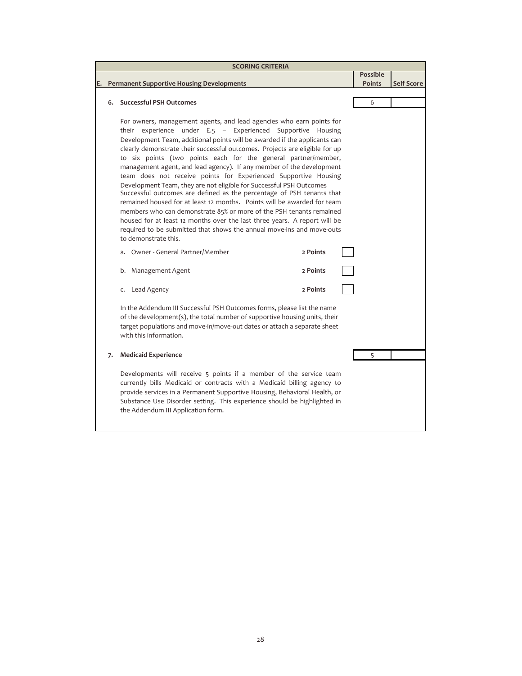|    |    | <b>SCORING CRITERIA</b>                                                                                                                                                                                                                                                                                                                                                                                                                                                                                                                                                                                                                                                                                                                                                                                                                                                                                                                                                                                                                       |                 |                   |
|----|----|-----------------------------------------------------------------------------------------------------------------------------------------------------------------------------------------------------------------------------------------------------------------------------------------------------------------------------------------------------------------------------------------------------------------------------------------------------------------------------------------------------------------------------------------------------------------------------------------------------------------------------------------------------------------------------------------------------------------------------------------------------------------------------------------------------------------------------------------------------------------------------------------------------------------------------------------------------------------------------------------------------------------------------------------------|-----------------|-------------------|
|    |    |                                                                                                                                                                                                                                                                                                                                                                                                                                                                                                                                                                                                                                                                                                                                                                                                                                                                                                                                                                                                                                               | <b>Possible</b> |                   |
| E. |    | <b>Permanent Supportive Housing Developments</b>                                                                                                                                                                                                                                                                                                                                                                                                                                                                                                                                                                                                                                                                                                                                                                                                                                                                                                                                                                                              | <b>Points</b>   | <b>Self Score</b> |
|    |    |                                                                                                                                                                                                                                                                                                                                                                                                                                                                                                                                                                                                                                                                                                                                                                                                                                                                                                                                                                                                                                               |                 |                   |
|    |    | 6. Successful PSH Outcomes                                                                                                                                                                                                                                                                                                                                                                                                                                                                                                                                                                                                                                                                                                                                                                                                                                                                                                                                                                                                                    | 6               |                   |
|    |    | For owners, management agents, and lead agencies who earn points for<br>their experience under E.5 - Experienced Supportive Housing<br>Development Team, additional points will be awarded if the applicants can<br>clearly demonstrate their successful outcomes. Projects are eligible for up<br>to six points (two points each for the general partner/member,<br>management agent, and lead agency). If any member of the development<br>team does not receive points for Experienced Supportive Housing<br>Development Team, they are not eligible for Successful PSH Outcomes<br>Successful outcomes are defined as the percentage of PSH tenants that<br>remained housed for at least 12 months. Points will be awarded for team<br>members who can demonstrate 85% or more of the PSH tenants remained<br>housed for at least 12 months over the last three years. A report will be<br>required to be submitted that shows the annual move-ins and move-outs<br>to demonstrate this.<br>a. Owner - General Partner/Member<br>2 Points |                 |                   |
|    |    | b. Management Agent<br>2 Points                                                                                                                                                                                                                                                                                                                                                                                                                                                                                                                                                                                                                                                                                                                                                                                                                                                                                                                                                                                                               |                 |                   |
|    |    | 2 Points<br>c. Lead Agency                                                                                                                                                                                                                                                                                                                                                                                                                                                                                                                                                                                                                                                                                                                                                                                                                                                                                                                                                                                                                    |                 |                   |
|    |    | In the Addendum III Successful PSH Outcomes forms, please list the name<br>of the development(s), the total number of supportive housing units, their<br>target populations and move-in/move-out dates or attach a separate sheet<br>with this information.                                                                                                                                                                                                                                                                                                                                                                                                                                                                                                                                                                                                                                                                                                                                                                                   |                 |                   |
|    | 7. | <b>Medicaid Experience</b>                                                                                                                                                                                                                                                                                                                                                                                                                                                                                                                                                                                                                                                                                                                                                                                                                                                                                                                                                                                                                    | 5               |                   |
|    |    | Developments will receive 5 points if a member of the service team<br>currently bills Medicaid or contracts with a Medicaid billing agency to<br>provide services in a Permanent Supportive Housing, Behavioral Health, or<br>Substance Use Disorder setting. This experience should be highlighted in<br>the Addendum III Application form.                                                                                                                                                                                                                                                                                                                                                                                                                                                                                                                                                                                                                                                                                                  |                 |                   |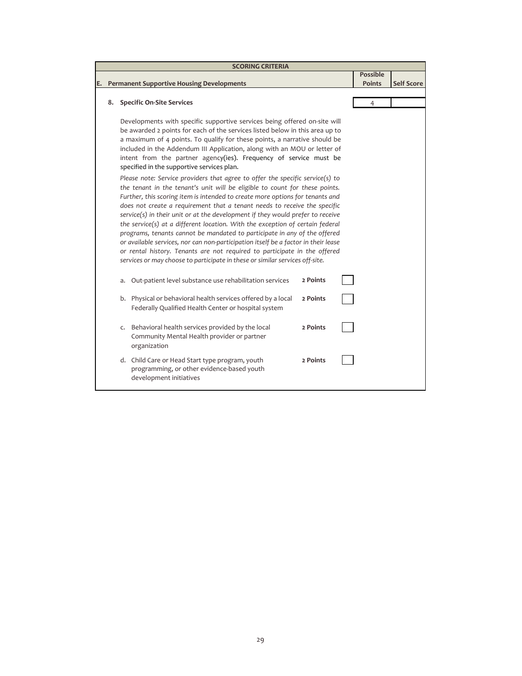|    |                                                                                                                                                                                                                                                                                                                                                                                                                                                                                              | <b>SCORING CRITERIA</b>                                                                                                                                                                                                                                                                                                                                                                                                                                                                                                                                                                                                                                                                |          |                 |                   |
|----|----------------------------------------------------------------------------------------------------------------------------------------------------------------------------------------------------------------------------------------------------------------------------------------------------------------------------------------------------------------------------------------------------------------------------------------------------------------------------------------------|----------------------------------------------------------------------------------------------------------------------------------------------------------------------------------------------------------------------------------------------------------------------------------------------------------------------------------------------------------------------------------------------------------------------------------------------------------------------------------------------------------------------------------------------------------------------------------------------------------------------------------------------------------------------------------------|----------|-----------------|-------------------|
|    |                                                                                                                                                                                                                                                                                                                                                                                                                                                                                              |                                                                                                                                                                                                                                                                                                                                                                                                                                                                                                                                                                                                                                                                                        |          | <b>Possible</b> |                   |
| E. |                                                                                                                                                                                                                                                                                                                                                                                                                                                                                              | <b>Permanent Supportive Housing Developments</b>                                                                                                                                                                                                                                                                                                                                                                                                                                                                                                                                                                                                                                       |          | <b>Points</b>   | <b>Self Score</b> |
|    |                                                                                                                                                                                                                                                                                                                                                                                                                                                                                              |                                                                                                                                                                                                                                                                                                                                                                                                                                                                                                                                                                                                                                                                                        |          |                 |                   |
|    | 8.                                                                                                                                                                                                                                                                                                                                                                                                                                                                                           | <b>Specific On-Site Services</b>                                                                                                                                                                                                                                                                                                                                                                                                                                                                                                                                                                                                                                                       |          | $\overline{4}$  |                   |
|    |                                                                                                                                                                                                                                                                                                                                                                                                                                                                                              | Developments with specific supportive services being offered on-site will<br>be awarded 2 points for each of the services listed below in this area up to<br>a maximum of 4 points. To qualify for these points, a narrative should be<br>included in the Addendum III Application, along with an MOU or letter of<br>intent from the partner agency(ies). Frequency of service must be<br>specified in the supportive services plan.<br>Please note: Service providers that agree to offer the specific service(s) to<br>the tenant in the tenant's unit will be eligible to count for these points.<br>Further, this scoring item is intended to create more options for tenants and |          |                 |                   |
|    | does not create a requirement that a tenant needs to receive the specific<br>service(s) in their unit or at the development if they would prefer to receive<br>the service(s) at a different location. With the exception of certain federal<br>programs, tenants cannot be mandated to participate in any of the offered<br>or available services, nor can non-participation itself be a factor in their lease<br>or rental history. Tenants are not required to participate in the offered |                                                                                                                                                                                                                                                                                                                                                                                                                                                                                                                                                                                                                                                                                        |          |                 |                   |
|    |                                                                                                                                                                                                                                                                                                                                                                                                                                                                                              | services or may choose to participate in these or similar services off-site.                                                                                                                                                                                                                                                                                                                                                                                                                                                                                                                                                                                                           |          |                 |                   |
|    |                                                                                                                                                                                                                                                                                                                                                                                                                                                                                              | Out-patient level substance use rehabilitation services<br>a.                                                                                                                                                                                                                                                                                                                                                                                                                                                                                                                                                                                                                          | 2 Points |                 |                   |
|    |                                                                                                                                                                                                                                                                                                                                                                                                                                                                                              | b. Physical or behavioral health services offered by a local<br>Federally Qualified Health Center or hospital system                                                                                                                                                                                                                                                                                                                                                                                                                                                                                                                                                                   | 2 Points |                 |                   |
|    |                                                                                                                                                                                                                                                                                                                                                                                                                                                                                              | Behavioral health services provided by the local<br>C.<br>Community Mental Health provider or partner<br>organization                                                                                                                                                                                                                                                                                                                                                                                                                                                                                                                                                                  | 2 Points |                 |                   |
|    |                                                                                                                                                                                                                                                                                                                                                                                                                                                                                              | d. Child Care or Head Start type program, youth<br>programming, or other evidence-based youth<br>development initiatives                                                                                                                                                                                                                                                                                                                                                                                                                                                                                                                                                               | 2 Points |                 |                   |
|    |                                                                                                                                                                                                                                                                                                                                                                                                                                                                                              |                                                                                                                                                                                                                                                                                                                                                                                                                                                                                                                                                                                                                                                                                        |          |                 |                   |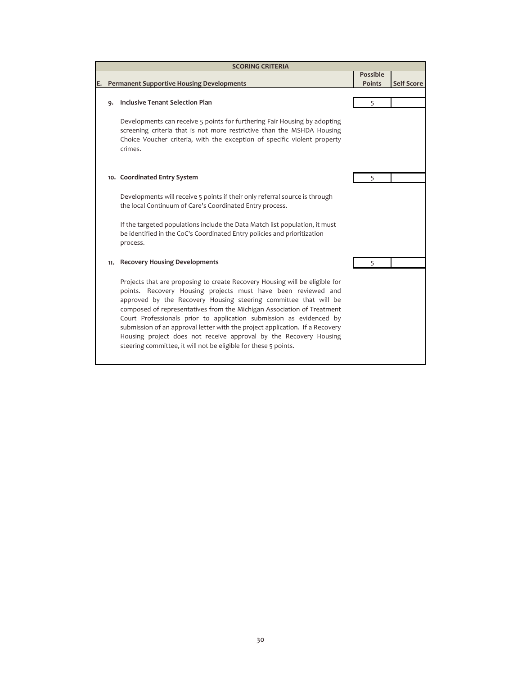|     | <b>SCORING CRITERIA</b>                                                                                                                                                                                                                                                                                                                                                                                                                                                                                                                                                                   |                 |                   |
|-----|-------------------------------------------------------------------------------------------------------------------------------------------------------------------------------------------------------------------------------------------------------------------------------------------------------------------------------------------------------------------------------------------------------------------------------------------------------------------------------------------------------------------------------------------------------------------------------------------|-----------------|-------------------|
|     |                                                                                                                                                                                                                                                                                                                                                                                                                                                                                                                                                                                           | <b>Possible</b> |                   |
|     | <b>Permanent Supportive Housing Developments</b>                                                                                                                                                                                                                                                                                                                                                                                                                                                                                                                                          | <b>Points</b>   | <b>Self Score</b> |
|     |                                                                                                                                                                                                                                                                                                                                                                                                                                                                                                                                                                                           |                 |                   |
| ۹.  | <b>Inclusive Tenant Selection Plan</b>                                                                                                                                                                                                                                                                                                                                                                                                                                                                                                                                                    | 5               |                   |
|     | Developments can receive 5 points for furthering Fair Housing by adopting<br>screening criteria that is not more restrictive than the MSHDA Housing<br>Choice Voucher criteria, with the exception of specific violent property<br>crimes.                                                                                                                                                                                                                                                                                                                                                |                 |                   |
|     | 10. Coordinated Entry System                                                                                                                                                                                                                                                                                                                                                                                                                                                                                                                                                              | 5               |                   |
|     | Developments will receive 5 points if their only referral source is through<br>the local Continuum of Care's Coordinated Entry process.                                                                                                                                                                                                                                                                                                                                                                                                                                                   |                 |                   |
|     | If the targeted populations include the Data Match list population, it must<br>be identified in the CoC's Coordinated Entry policies and prioritization<br>process.                                                                                                                                                                                                                                                                                                                                                                                                                       |                 |                   |
| 11. | <b>Recovery Housing Developments</b>                                                                                                                                                                                                                                                                                                                                                                                                                                                                                                                                                      | 5               |                   |
|     | Projects that are proposing to create Recovery Housing will be eligible for<br>points. Recovery Housing projects must have been reviewed and<br>approved by the Recovery Housing steering committee that will be<br>composed of representatives from the Michigan Association of Treatment<br>Court Professionals prior to application submission as evidenced by<br>submission of an approval letter with the project application. If a Recovery<br>Housing project does not receive approval by the Recovery Housing<br>steering committee, it will not be eligible for these 5 points. |                 |                   |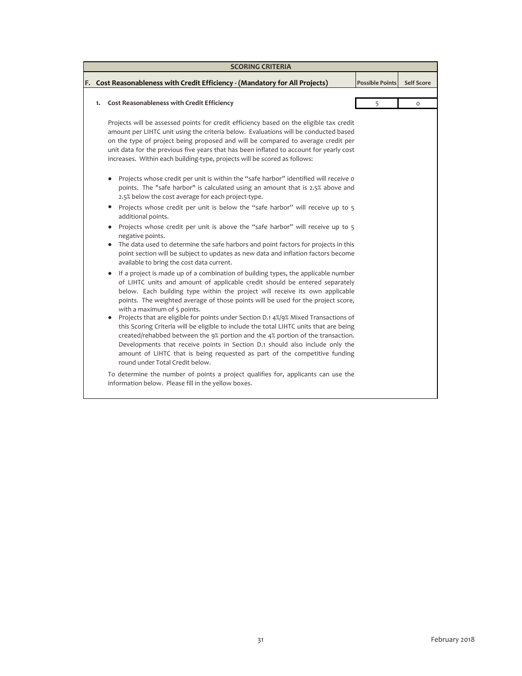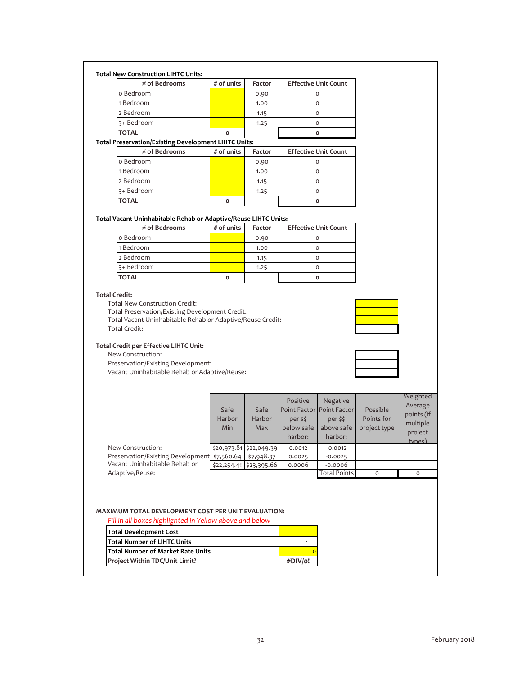| <b>Total New Construction LIHTC Units:</b> |
|--------------------------------------------|
|--------------------------------------------|

| # of Bedrooms                                | $#$ of units | Factor | <b>Effective Unit Count</b> |
|----------------------------------------------|--------------|--------|-----------------------------|
| o Bedroom                                    |              | 0.90   |                             |
| 1 Bedroom                                    |              | 1.00   |                             |
| 2 Bedroom                                    |              | 1.15   |                             |
| 3+ Bedroom                                   |              | 1.25   |                             |
| <b>TOTAL</b>                                 |              |        |                             |
| Desamplica (Edding David computed UPC Holter |              |        |                             |

## **Total Preservation/Existing Development LIHTC Units:**

| # of Bedrooms | $#$ of units | Factor | <b>Effective Unit Count</b> |
|---------------|--------------|--------|-----------------------------|
| o Bedroom     |              | 0.90   |                             |
| 1 Bedroom     |              | 1.00   |                             |
| 2 Bedroom     |              | 1.15   | O                           |
| 3+ Bedroom    |              | 1.25   | Ο                           |
| <b>TOTAL</b>  | Ο            |        |                             |

#### **Total Vacant Uninhabitable Rehab or Adaptive/Reuse LIHTC Units:**

| # of Bedrooms | $#$ of units | Factor | <b>Effective Unit Count</b> |
|---------------|--------------|--------|-----------------------------|
| o Bedroom     |              | 0.90   |                             |
| 1 Bedroom     |              | 1.00   |                             |
| 2 Bedroom     |              | 1.15   |                             |
| 3+ Bedroom    |              | 1.25   |                             |
| <b>TOTAL</b>  | Ω            |        |                             |

#### **Total Credit:**

Total New Construction Credit:

Total Preservation/Existing Development Credit: Total Vacant Uninhabitable Rehab or Adaptive/Reuse Credit: Total Credit:

### **Total Credit per Effective LIHTC Unit:**

New Construction:

Preservation/Existing Development: Vacant Uninhabitable Rehab or Adaptive/Reuse:

|                                   | Safe<br>Harbor<br>Min | Safe<br>Harbor<br>Max     | Positive<br>per \$\$<br>below safe<br>harbor: | Negative<br>Point Factor Point Factor<br>per \$\$<br>above safe<br>harbor: | Possible<br>Points for<br>project type | Average<br>points (if<br>multiple<br>project<br>types) |
|-----------------------------------|-----------------------|---------------------------|-----------------------------------------------|----------------------------------------------------------------------------|----------------------------------------|--------------------------------------------------------|
| New Construction:                 |                       | \$20,973.81 \$22,049.39   | 0.0012                                        | $-0.0012$                                                                  |                                        |                                                        |
| Preservation/Existing Development | \$7,560.64            | \$7,948.37                | 0.0025                                        | $-0.0025$                                                                  |                                        |                                                        |
| Vacant Uninhabitable Rehab or     |                       | $$22,254.41$ $$23,395.66$ | 0.0006                                        | $-0.0006$                                                                  |                                        |                                                        |
| Adaptive/Reuse:                   |                       |                           |                                               | <b>Total Points</b>                                                        | $\circ$                                | $\Omega$                                               |
|                                   |                       |                           |                                               |                                                                            |                                        |                                                        |

Positive

Negative

# **MAXIMUM TOTAL DEVELOPMENT COST PER UNIT EVALUATION:**

*Fill in all boxes highlighted in Yellow above and below*

| <b>Total Development Cost</b>            |         |
|------------------------------------------|---------|
| <b>Total Number of LIHTC Units</b>       |         |
| <b>Total Number of Market Rate Units</b> |         |
| <b>Project Within TDC/Unit Limit?</b>    | #DIV/o! |



Weighted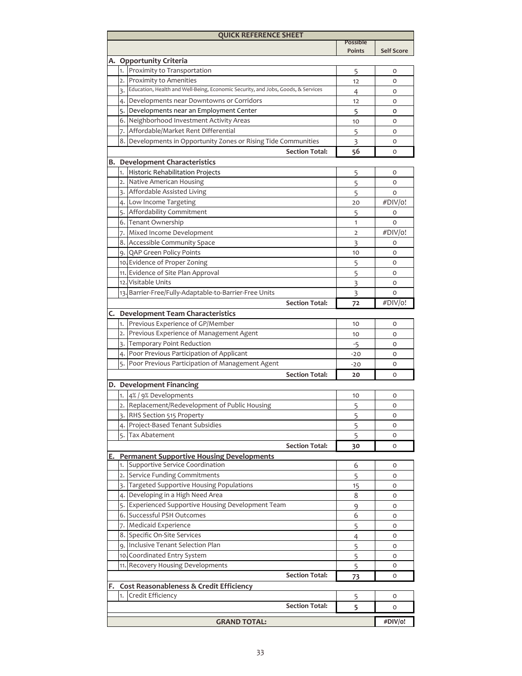| <b>QUICK REFERENCE SHEET</b> |    |                                                                                                               |                 |                   |  |  |  |  |  |  |
|------------------------------|----|---------------------------------------------------------------------------------------------------------------|-----------------|-------------------|--|--|--|--|--|--|
|                              |    |                                                                                                               | <b>Possible</b> |                   |  |  |  |  |  |  |
|                              |    |                                                                                                               | Points          | <b>Self Score</b> |  |  |  |  |  |  |
|                              |    | A. Opportunity Criteria<br>1. Proximity to Transportation                                                     |                 |                   |  |  |  |  |  |  |
|                              |    |                                                                                                               | 5               | 0                 |  |  |  |  |  |  |
|                              |    | 2. Proximity to Amenities<br>Education, Health and Well-Being, Economic Security, and Jobs, Goods, & Services | 12              | O                 |  |  |  |  |  |  |
|                              | 3. |                                                                                                               | 4               | O                 |  |  |  |  |  |  |
|                              |    | 4. Developments near Downtowns or Corridors                                                                   | 12              | O                 |  |  |  |  |  |  |
|                              |    | 5. Developments near an Employment Center                                                                     | 5               | o                 |  |  |  |  |  |  |
|                              |    | 6. Neighborhood Investment Activity Areas<br>7. Affordable/Market Rent Differential                           | 10              | O                 |  |  |  |  |  |  |
|                              |    |                                                                                                               | 5               | O                 |  |  |  |  |  |  |
|                              |    | 8. Developments in Opportunity Zones or Rising Tide Communities                                               | 3               | O                 |  |  |  |  |  |  |
|                              |    | <b>Section Total:</b>                                                                                         | 56              | O                 |  |  |  |  |  |  |
|                              |    | <b>B. Development Characteristics</b>                                                                         |                 |                   |  |  |  |  |  |  |
|                              |    | 1. Historic Rehabilitation Projects                                                                           | 5               | 0                 |  |  |  |  |  |  |
|                              |    | 2. Native American Housing                                                                                    | 5               | O                 |  |  |  |  |  |  |
|                              |    | 3. Affordable Assisted Living                                                                                 | 5               | $\circ$           |  |  |  |  |  |  |
|                              |    | 4. Low Income Targeting                                                                                       | 20              | #DIV/o!           |  |  |  |  |  |  |
|                              |    | 5. Affordability Commitment                                                                                   | 5               | 0                 |  |  |  |  |  |  |
|                              |    | 6. Tenant Ownership                                                                                           | 1               | $\circ$           |  |  |  |  |  |  |
|                              |    | 7. Mixed Income Development                                                                                   | 2               | #DIV/o!           |  |  |  |  |  |  |
|                              |    | 8. Accessible Community Space                                                                                 | 3               | 0                 |  |  |  |  |  |  |
|                              |    | 9. QAP Green Policy Points                                                                                    | 10              | 0                 |  |  |  |  |  |  |
|                              |    | 10. Evidence of Proper Zoning                                                                                 | 5               | 0                 |  |  |  |  |  |  |
|                              |    | 11. Evidence of Site Plan Approval                                                                            | 5               | 0                 |  |  |  |  |  |  |
|                              |    | 12. Visitable Units                                                                                           | 3               | 0                 |  |  |  |  |  |  |
|                              |    | 13. Barrier-Free/Fully-Adaptable-to-Barrier-Free Units                                                        | 3               | O                 |  |  |  |  |  |  |
|                              |    | <b>Section Total:</b>                                                                                         | 72              | #DIV/o!           |  |  |  |  |  |  |
|                              |    | C. Development Team Characteristics                                                                           |                 |                   |  |  |  |  |  |  |
|                              |    | 1. Previous Experience of GP/Member                                                                           | 10              | 0                 |  |  |  |  |  |  |
|                              |    | 2. Previous Experience of Management Agent                                                                    | 10              | 0                 |  |  |  |  |  |  |
|                              |    | 3. Temporary Point Reduction                                                                                  | $-5$            | 0                 |  |  |  |  |  |  |
|                              |    | 4. Poor Previous Participation of Applicant                                                                   | $-20$           | O                 |  |  |  |  |  |  |
|                              |    | 5. Poor Previous Participation of Management Agent                                                            | $-20$           | O                 |  |  |  |  |  |  |
|                              |    | <b>Section Total:</b>                                                                                         | 20              | O                 |  |  |  |  |  |  |
|                              |    | D. Development Financing                                                                                      |                 |                   |  |  |  |  |  |  |
|                              |    | 1. 4% / 9% Developments                                                                                       | 10              | 0                 |  |  |  |  |  |  |
|                              |    | 2. Replacement/Redevelopment of Public Housing                                                                | 5               | 0                 |  |  |  |  |  |  |
|                              |    | 3. RHS Section 515 Property                                                                                   | 5               | 0                 |  |  |  |  |  |  |
|                              |    | 4. Project-Based Tenant Subsidies                                                                             | 5               | O                 |  |  |  |  |  |  |
|                              | 5. | Tax Abatement                                                                                                 | 5               | 0                 |  |  |  |  |  |  |
|                              |    | <b>Section Total:</b>                                                                                         | 30              | O                 |  |  |  |  |  |  |
| E.                           |    | <b>Permanent Supportive Housing Developments</b>                                                              |                 |                   |  |  |  |  |  |  |
|                              |    | 1. Supportive Service Coordination                                                                            | 6               | 0                 |  |  |  |  |  |  |
|                              |    | 2. Service Funding Commitments                                                                                | 5               | 0                 |  |  |  |  |  |  |
|                              |    | 3. Targeted Supportive Housing Populations                                                                    | 15              | 0                 |  |  |  |  |  |  |
|                              |    | 4. Developing in a High Need Area                                                                             | 8               | 0                 |  |  |  |  |  |  |
|                              |    | 5. Experienced Supportive Housing Development Team                                                            | 9               | O                 |  |  |  |  |  |  |
|                              |    | 6. Successful PSH Outcomes                                                                                    | 6               | O                 |  |  |  |  |  |  |
|                              |    | 7. Medicaid Experience                                                                                        | 5               | 0                 |  |  |  |  |  |  |
|                              |    | 8. Specific On-Site Services                                                                                  | $\overline{4}$  | O                 |  |  |  |  |  |  |
|                              |    | 9. Inclusive Tenant Selection Plan                                                                            | 5               | O                 |  |  |  |  |  |  |
|                              |    | 10. Coordinated Entry System                                                                                  | 5               | O                 |  |  |  |  |  |  |
|                              |    | 11. Recovery Housing Developments                                                                             | 5               | 0                 |  |  |  |  |  |  |
|                              |    | <b>Section Total:</b>                                                                                         | 73              | 0                 |  |  |  |  |  |  |
| F.                           |    | Cost Reasonableness & Credit Efficiency                                                                       |                 |                   |  |  |  |  |  |  |
|                              |    | 1. Credit Efficiency                                                                                          | 5               | 0                 |  |  |  |  |  |  |
|                              |    | <b>Section Total:</b>                                                                                         | 5               | O                 |  |  |  |  |  |  |
|                              |    |                                                                                                               |                 |                   |  |  |  |  |  |  |
|                              |    | <b>GRAND TOTAL:</b>                                                                                           |                 | #DIV/o!           |  |  |  |  |  |  |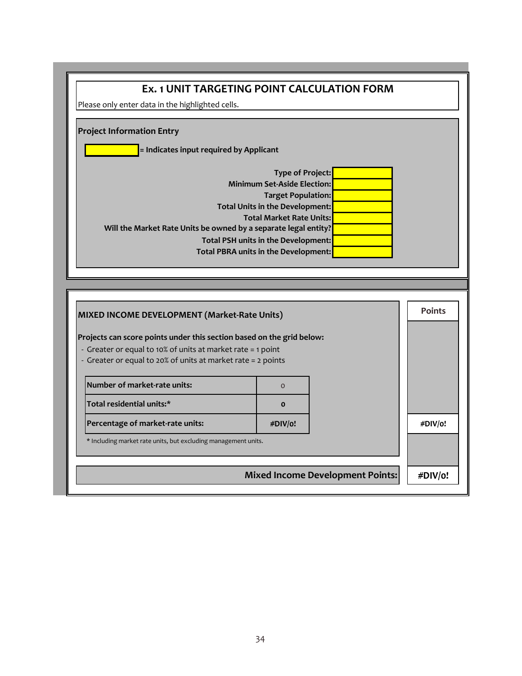| Please only enter data in the highlighted cells.                      |                                                                 |               |
|-----------------------------------------------------------------------|-----------------------------------------------------------------|---------------|
|                                                                       |                                                                 |               |
| <b>Project Information Entry</b>                                      |                                                                 |               |
| = Indicates input required by Applicant                               |                                                                 |               |
|                                                                       | <b>Type of Project:</b>                                         |               |
|                                                                       | <b>Minimum Set-Aside Election:</b>                              |               |
|                                                                       | <b>Target Population:</b>                                       |               |
|                                                                       | Total Units in the Development:                                 |               |
|                                                                       | <b>Total Market Rate Units:</b>                                 |               |
|                                                                       | Will the Market Rate Units be owned by a separate legal entity? |               |
|                                                                       | Total PSH units in the Development:                             |               |
|                                                                       |                                                                 |               |
|                                                                       | Total PBRA units in the Development:                            |               |
|                                                                       |                                                                 |               |
|                                                                       |                                                                 |               |
|                                                                       |                                                                 |               |
|                                                                       |                                                                 | <b>Points</b> |
| MIXED INCOME DEVELOPMENT (Market-Rate Units)                          |                                                                 |               |
| Projects can score points under this section based on the grid below: |                                                                 |               |
| - Greater or equal to 10% of units at market rate = 1 point           |                                                                 |               |
| - Greater or equal to 20% of units at market rate = 2 points          |                                                                 |               |
|                                                                       |                                                                 |               |
| Number of market-rate units:                                          | $\Omega$                                                        |               |
| Total residential units:*                                             | $\mathbf{o}$                                                    |               |
| Percentage of market-rate units:                                      | #DIV/o!                                                         | #DIV/o!       |
| * Including market rate units, but excluding management units.        |                                                                 |               |